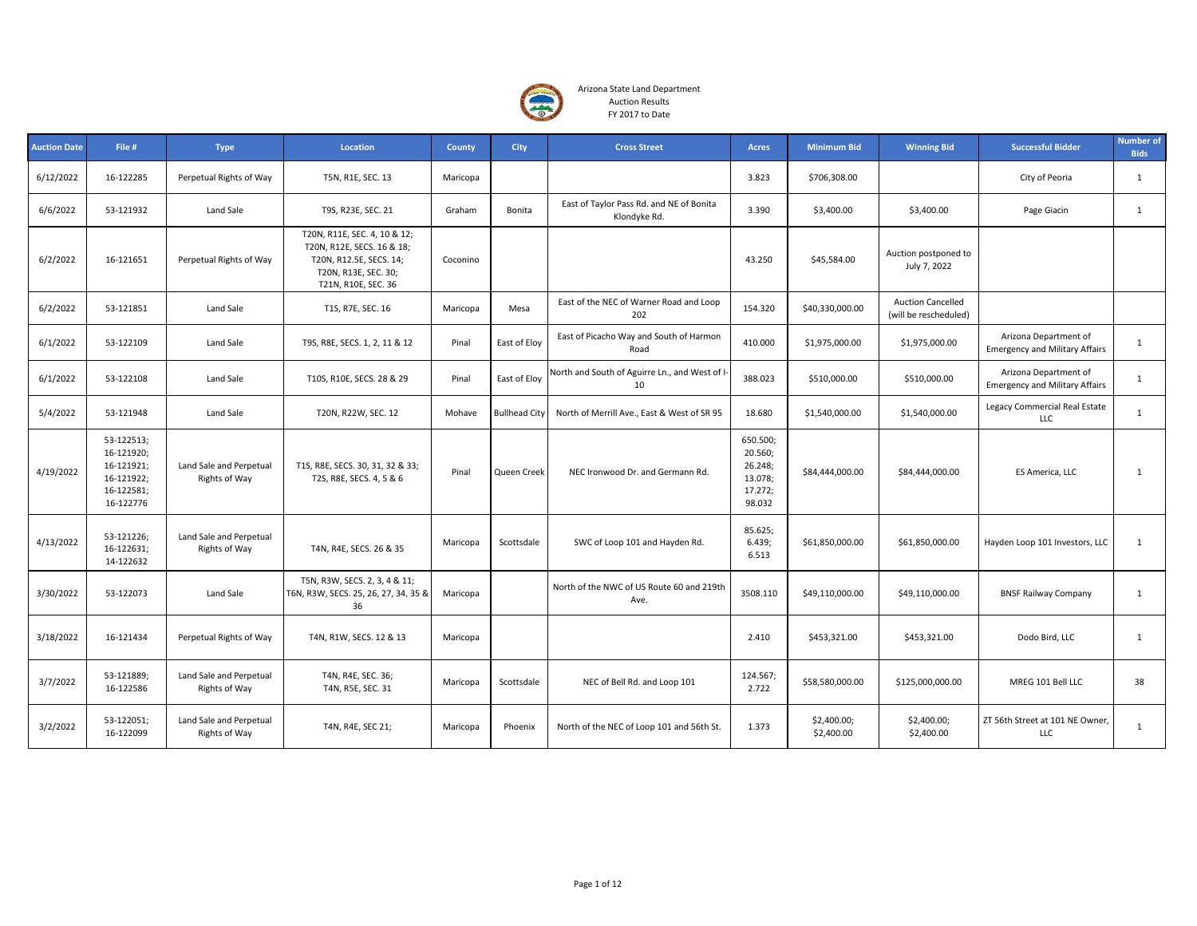

| <b>Auction Date</b> | File #                                                                          | <b>Type</b>                                     | Location                                                                                                                             | County   | <b>City</b>          | <b>Cross Street</b>                                      | <b>Acres</b>                                                   | <b>Minimum Bid</b>        | <b>Winning Bid</b>                                | <b>Successful Bidder</b>                                       | <b>Number of</b><br><b>Bids</b> |
|---------------------|---------------------------------------------------------------------------------|-------------------------------------------------|--------------------------------------------------------------------------------------------------------------------------------------|----------|----------------------|----------------------------------------------------------|----------------------------------------------------------------|---------------------------|---------------------------------------------------|----------------------------------------------------------------|---------------------------------|
| 6/12/2022           | 16-122285                                                                       | Perpetual Rights of Way                         | T5N, R1E, SEC. 13                                                                                                                    | Maricopa |                      |                                                          | 3.823                                                          | \$706,308.00              |                                                   | City of Peoria                                                 | $\mathbf{1}$                    |
| 6/6/2022            | 53-121932                                                                       | Land Sale                                       | T9S, R23E, SEC. 21                                                                                                                   | Graham   | Bonita               | East of Taylor Pass Rd. and NE of Bonita<br>Klondyke Rd. | 3.390                                                          | \$3,400.00                | \$3,400.00                                        | Page Giacin                                                    | $\mathbf{1}$                    |
| 6/2/2022            | 16-121651                                                                       | Perpetual Rights of Way                         | T20N, R11E, SEC. 4, 10 & 12;<br>T20N, R12E, SECS. 16 & 18;<br>T20N, R12.5E, SECS. 14;<br>T20N, R13E, SEC. 30;<br>T21N, R10E, SEC. 36 | Coconino |                      |                                                          | 43.250                                                         | \$45,584.00               | Auction postponed to<br>July 7, 2022              |                                                                |                                 |
| 6/2/2022            | 53-121851                                                                       | Land Sale                                       | T1S, R7E, SEC. 16                                                                                                                    | Maricopa | Mesa                 | East of the NEC of Warner Road and Loop<br>202           | 154.320                                                        | \$40,330,000.00           | <b>Auction Cancelled</b><br>(will be rescheduled) |                                                                |                                 |
| 6/1/2022            | 53-122109                                                                       | Land Sale                                       | T9S, R8E, SECS. 1, 2, 11 & 12                                                                                                        | Pinal    | East of Eloy         | East of Picacho Way and South of Harmon<br>Road          | 410.000                                                        | \$1,975,000.00            | \$1,975,000.00                                    | Arizona Department of<br><b>Emergency and Military Affairs</b> | $\mathbf{1}$                    |
| 6/1/2022            | 53-122108                                                                       | Land Sale                                       | T10S, R10E, SECS. 28 & 29                                                                                                            | Pinal    | East of Eloy         | North and South of Aguirre Ln., and West of I<br>10      | 388.023                                                        | \$510,000.00              | \$510,000.00                                      | Arizona Department of<br><b>Emergency and Military Affairs</b> | $\mathbf{1}$                    |
| 5/4/2022            | 53-121948                                                                       | Land Sale                                       | T20N, R22W, SEC. 12                                                                                                                  | Mohave   | <b>Bullhead City</b> | North of Merrill Ave., East & West of SR 95              | 18.680                                                         | \$1,540,000.00            | \$1,540,000.00                                    | Legacy Commercial Real Estate<br><b>LLC</b>                    | $\mathbf{1}$                    |
| 4/19/2022           | 53-122513;<br>16-121920;<br>16-121921;<br>16-121922;<br>16-122581;<br>16-122776 | Land Sale and Perpetual<br><b>Rights of Way</b> | T1S, R8E, SECS. 30, 31, 32 & 33;<br>T2S, R8E, SECS. 4, 5 & 6                                                                         | Pinal    | Queen Creek          | NEC Ironwood Dr. and Germann Rd.                         | 650.500;<br>20.560;<br>26.248;<br>13.078;<br>17.272;<br>98.032 | \$84,444,000.00           | \$84,444,000.00                                   | ES America, LLC                                                | 1                               |
| 4/13/2022           | 53-121226;<br>16-122631;<br>14-122632                                           | Land Sale and Perpetual<br>Rights of Way        | T4N, R4E, SECS. 26 & 35                                                                                                              | Maricopa | Scottsdale           | SWC of Loop 101 and Hayden Rd.                           | 85.625;<br>6.439;<br>6.513                                     | \$61,850,000.00           | \$61,850,000.00                                   | Hayden Loop 101 Investors, LLC                                 | $\mathbf{1}$                    |
| 3/30/2022           | 53-122073                                                                       | Land Sale                                       | T5N, R3W, SECS. 2, 3, 4 & 11;<br>T6N, R3W, SECS. 25, 26, 27, 34, 35 &<br>36                                                          | Maricopa |                      | North of the NWC of US Route 60 and 219th<br>Ave.        | 3508.110                                                       | \$49,110,000.00           | \$49,110,000.00                                   | <b>BNSF Railway Company</b>                                    | $\mathbf{1}$                    |
| 3/18/2022           | 16-121434                                                                       | Perpetual Rights of Way                         | T4N, R1W, SECS. 12 & 13                                                                                                              | Maricopa |                      |                                                          | 2.410                                                          | \$453,321.00              | \$453,321.00                                      | Dodo Bird, LLC                                                 | $\mathbf{1}$                    |
| 3/7/2022            | 53-121889;<br>16-122586                                                         | Land Sale and Perpetual<br>Rights of Way        | T4N, R4E, SEC. 36;<br>T4N, R5E, SEC. 31                                                                                              | Maricopa | Scottsdale           | NEC of Bell Rd. and Loop 101                             | 124.567;<br>2.722                                              | \$58,580,000.00           | \$125,000,000.00                                  | MREG 101 Bell LLC                                              | 38                              |
| 3/2/2022            | 53-122051;<br>16-122099                                                         | Land Sale and Perpetual<br>Rights of Way        | T4N, R4E, SEC 21;                                                                                                                    | Maricopa | Phoenix              | North of the NEC of Loop 101 and 56th St.                | 1.373                                                          | \$2,400.00;<br>\$2,400.00 | \$2,400.00;<br>\$2,400.00                         | ZT 56th Street at 101 NE Owner,<br>LLC                         | $\mathbf{1}$                    |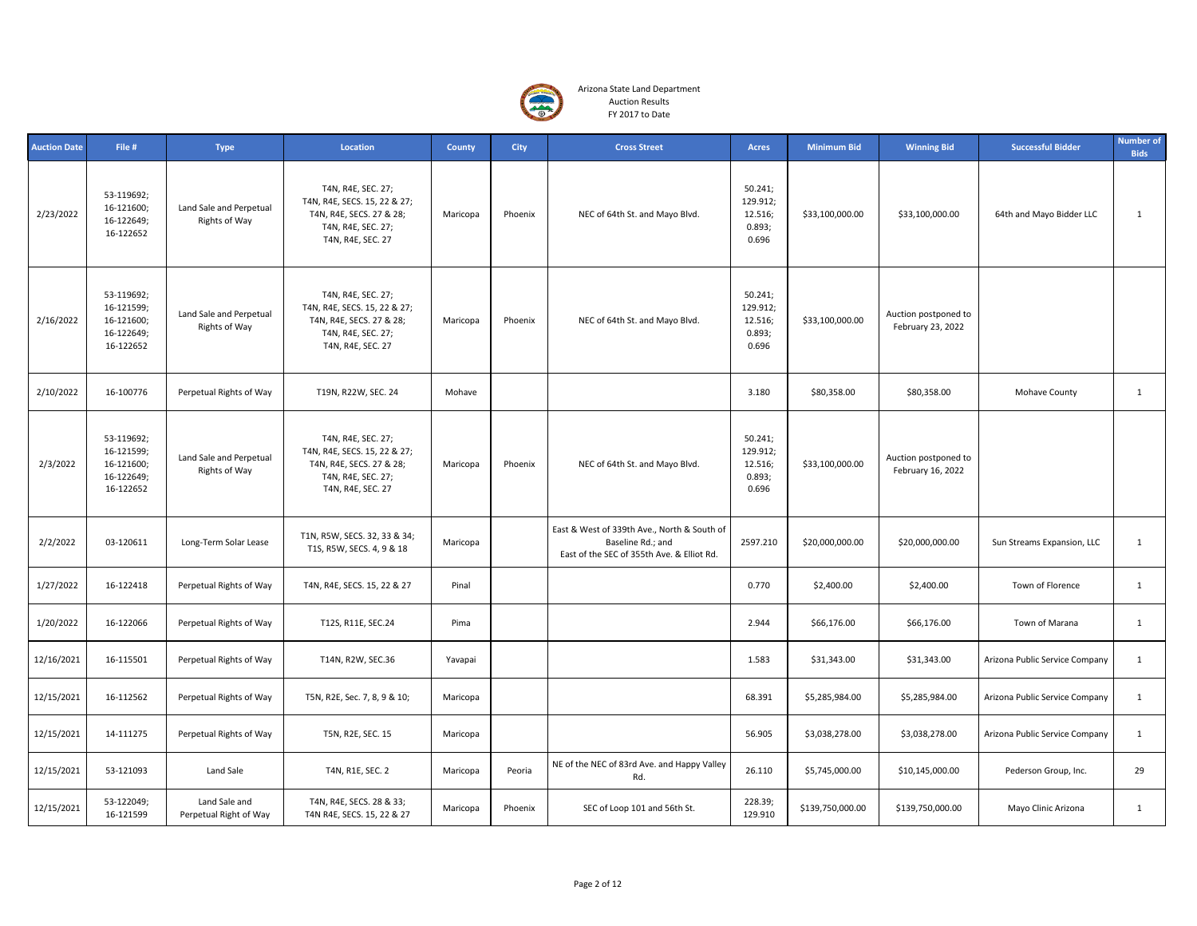

| <b>Auction Date</b> | File #                                                            | <b>Type</b>                                     | Location                                                                                                                  | <b>County</b> | <b>City</b> | <b>Cross Street</b>                                                                                            | <b>Acres</b>                                      | <b>Minimum Bid</b> | <b>Winning Bid</b>                        | <b>Successful Bidder</b>       | <b>Number of</b><br><b>Bids</b> |
|---------------------|-------------------------------------------------------------------|-------------------------------------------------|---------------------------------------------------------------------------------------------------------------------------|---------------|-------------|----------------------------------------------------------------------------------------------------------------|---------------------------------------------------|--------------------|-------------------------------------------|--------------------------------|---------------------------------|
| 2/23/2022           | 53-119692;<br>16-121600;<br>16-122649;<br>16-122652               | Land Sale and Perpetual<br>Rights of Way        | T4N, R4E, SEC. 27;<br>T4N, R4E, SECS. 15, 22 & 27;<br>T4N, R4E, SECS. 27 & 28;<br>T4N, R4E, SEC. 27;<br>T4N, R4E, SEC. 27 | Maricopa      | Phoenix     | NEC of 64th St. and Mayo Blvd.                                                                                 | 50.241;<br>129.912;<br>12.516;<br>0.893;<br>0.696 | \$33,100,000.00    | \$33,100,000.00                           | 64th and Mayo Bidder LLC       | $\mathbf{1}$                    |
| 2/16/2022           | 53-119692;<br>16-121599;<br>16-121600;<br>16-122649;<br>16-122652 | Land Sale and Perpetual<br><b>Rights of Way</b> | T4N, R4E, SEC. 27;<br>T4N, R4E, SECS. 15, 22 & 27;<br>T4N, R4E, SECS. 27 & 28;<br>T4N, R4E, SEC. 27;<br>T4N, R4E, SEC. 27 | Maricopa      | Phoenix     | NEC of 64th St. and Mayo Blvd.                                                                                 | 50.241;<br>129.912;<br>12.516;<br>0.893;<br>0.696 | \$33,100,000.00    | Auction postponed to<br>February 23, 2022 |                                |                                 |
| 2/10/2022           | 16-100776                                                         | Perpetual Rights of Way                         | T19N, R22W, SEC. 24                                                                                                       | Mohave        |             |                                                                                                                | 3.180                                             | \$80,358.00        | \$80,358.00                               | Mohave County                  | 1                               |
| 2/3/2022            | 53-119692;<br>16-121599;<br>16-121600;<br>16-122649;<br>16-122652 | Land Sale and Perpetual<br>Rights of Way        | T4N, R4E, SEC. 27;<br>T4N, R4E, SECS. 15, 22 & 27;<br>T4N, R4E, SECS. 27 & 28;<br>T4N, R4E, SEC. 27;<br>T4N, R4E, SEC. 27 | Maricopa      | Phoenix     | NEC of 64th St. and Mayo Blvd.                                                                                 | 50.241;<br>129.912;<br>12.516;<br>0.893;<br>0.696 | \$33,100,000.00    | Auction postponed to<br>February 16, 2022 |                                |                                 |
| 2/2/2022            | 03-120611                                                         | Long-Term Solar Lease                           | T1N, R5W, SECS. 32, 33 & 34;<br>T1S, R5W, SECS. 4, 9 & 18                                                                 | Maricopa      |             | East & West of 339th Ave., North & South of<br>Baseline Rd.; and<br>East of the SEC of 355th Ave. & Elliot Rd. | 2597.210                                          | \$20,000,000.00    | \$20,000,000.00                           | Sun Streams Expansion, LLC     | $\mathbf{1}$                    |
| 1/27/2022           | 16-122418                                                         | Perpetual Rights of Way                         | T4N, R4E, SECS. 15, 22 & 27                                                                                               | Pinal         |             |                                                                                                                | 0.770                                             | \$2,400.00         | \$2,400.00                                | Town of Florence               | $\mathbf{1}$                    |
| 1/20/2022           | 16-122066                                                         | Perpetual Rights of Way                         | T12S, R11E, SEC.24                                                                                                        | Pima          |             |                                                                                                                | 2.944                                             | \$66,176.00        | \$66,176.00                               | Town of Marana                 | $\mathbf{1}$                    |
| 12/16/2021          | 16-115501                                                         | Perpetual Rights of Way                         | T14N, R2W, SEC.36                                                                                                         | Yavapai       |             |                                                                                                                | 1.583                                             | \$31,343.00        | \$31,343.00                               | Arizona Public Service Company | $\mathbf{1}$                    |
| 12/15/2021          | 16-112562                                                         | Perpetual Rights of Way                         | T5N, R2E, Sec. 7, 8, 9 & 10;                                                                                              | Maricopa      |             |                                                                                                                | 68.391                                            | \$5,285,984.00     | \$5,285,984.00                            | Arizona Public Service Company | $\mathbf{1}$                    |
| 12/15/2021          | 14-111275                                                         | Perpetual Rights of Way                         | T5N, R2E, SEC. 15                                                                                                         | Maricopa      |             |                                                                                                                | 56.905                                            | \$3,038,278.00     | \$3,038,278.00                            | Arizona Public Service Company | $\mathbf{1}$                    |
| 12/15/2021          | 53-121093                                                         | Land Sale                                       | T4N, R1E, SEC. 2                                                                                                          | Maricopa      | Peoria      | NE of the NEC of 83rd Ave. and Happy Valley<br>Rd.                                                             | 26.110                                            | \$5,745,000.00     | \$10,145,000.00                           | Pederson Group, Inc.           | 29                              |
| 12/15/2021          | 53-122049;<br>16-121599                                           | Land Sale and<br>Perpetual Right of Way         | T4N, R4E, SECS. 28 & 33;<br>T4N R4E, SECS. 15, 22 & 27                                                                    | Maricopa      | Phoenix     | SEC of Loop 101 and 56th St.                                                                                   | 228.39;<br>129.910                                | \$139,750,000.00   | \$139,750,000.00                          | Mayo Clinic Arizona            | $\mathbf{1}$                    |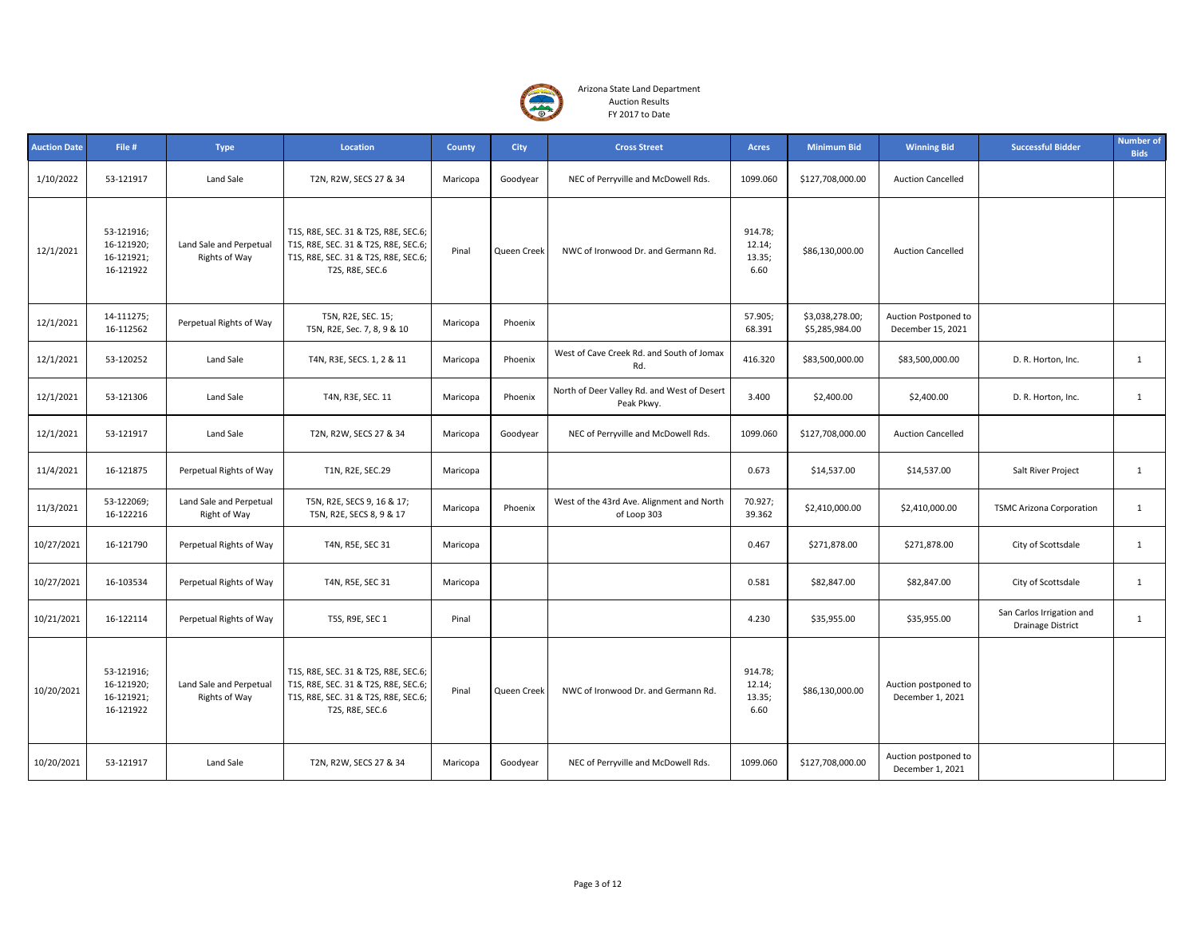

| <b>Auction Date</b> | File #                                              | <b>Type</b>                              | Location                                                                                                                                | <b>County</b> | <b>City</b> | <b>Cross Street</b>                                       | Acres                               | <b>Minimum Bid</b>                | <b>Winning Bid</b>                        | <b>Successful Bidder</b>                              | <b>Number of</b><br><b>Bids</b> |
|---------------------|-----------------------------------------------------|------------------------------------------|-----------------------------------------------------------------------------------------------------------------------------------------|---------------|-------------|-----------------------------------------------------------|-------------------------------------|-----------------------------------|-------------------------------------------|-------------------------------------------------------|---------------------------------|
| 1/10/2022           | 53-121917                                           | Land Sale                                | T2N, R2W, SECS 27 & 34                                                                                                                  | Maricopa      | Goodyear    | NEC of Perryville and McDowell Rds.                       | 1099.060                            | \$127,708,000.00                  | <b>Auction Cancelled</b>                  |                                                       |                                 |
| 12/1/2021           | 53-121916;<br>16-121920;<br>16-121921;<br>16-121922 | Land Sale and Perpetual<br>Rights of Way | T1S, R8E, SEC. 31 & T2S, R8E, SEC.6;<br>T1S, R8E, SEC. 31 & T2S, R8E, SEC.6;<br>T1S, R8E, SEC. 31 & T2S, R8E, SEC.6;<br>T2S, R8E, SEC.6 | Pinal         | Queen Creek | NWC of Ironwood Dr. and Germann Rd.                       | 914.78;<br>12.14;<br>13.35;<br>6.60 | \$86,130,000.00                   | <b>Auction Cancelled</b>                  |                                                       |                                 |
| 12/1/2021           | 14-111275;<br>16-112562                             | Perpetual Rights of Way                  | T5N, R2E, SEC. 15;<br>T5N, R2E, Sec. 7, 8, 9 & 10                                                                                       | Maricopa      | Phoenix     |                                                           | 57.905;<br>68.391                   | \$3,038,278.00;<br>\$5,285,984.00 | Auction Postponed to<br>December 15, 2021 |                                                       |                                 |
| 12/1/2021           | 53-120252                                           | Land Sale                                | T4N, R3E, SECS. 1, 2 & 11                                                                                                               | Maricopa      | Phoenix     | West of Cave Creek Rd. and South of Jomax<br>Rd.          | 416.320                             | \$83,500,000.00                   | \$83,500,000.00                           | D. R. Horton, Inc.                                    | $\mathbf{1}$                    |
| 12/1/2021           | 53-121306                                           | Land Sale                                | T4N, R3E, SEC. 11                                                                                                                       | Maricopa      | Phoenix     | North of Deer Valley Rd. and West of Desert<br>Peak Pkwy. | 3.400                               | \$2,400.00                        | \$2,400.00                                | D. R. Horton, Inc.                                    | $\mathbf{1}$                    |
| 12/1/2021           | 53-121917                                           | Land Sale                                | T2N, R2W, SECS 27 & 34                                                                                                                  | Maricopa      | Goodyear    | NEC of Perryville and McDowell Rds.                       | 1099.060                            | \$127,708,000.00                  | <b>Auction Cancelled</b>                  |                                                       |                                 |
| 11/4/2021           | 16-121875                                           | Perpetual Rights of Way                  | T1N, R2E, SEC.29                                                                                                                        | Maricopa      |             |                                                           | 0.673                               | \$14,537.00                       | \$14,537.00                               | Salt River Project                                    | $\mathbf{1}$                    |
| 11/3/2021           | 53-122069;<br>16-122216                             | Land Sale and Perpetual<br>Right of Way  | T5N, R2E, SECS 9, 16 & 17;<br>T5N, R2E, SECS 8, 9 & 17                                                                                  | Maricopa      | Phoenix     | West of the 43rd Ave. Alignment and North<br>of Loop 303  | 70.927;<br>39.362                   | \$2,410,000.00                    | \$2,410,000.00                            | <b>TSMC Arizona Corporation</b>                       | $\mathbf{1}$                    |
| 10/27/2021          | 16-121790                                           | Perpetual Rights of Way                  | T4N, R5E, SEC 31                                                                                                                        | Maricopa      |             |                                                           | 0.467                               | \$271,878.00                      | \$271,878.00                              | City of Scottsdale                                    | $\mathbf{1}$                    |
| 10/27/2021          | 16-103534                                           | Perpetual Rights of Way                  | T4N, R5E, SEC 31                                                                                                                        | Maricopa      |             |                                                           | 0.581                               | \$82,847.00                       | \$82,847.00                               | City of Scottsdale                                    | $\mathbf{1}$                    |
| 10/21/2021          | 16-122114                                           | Perpetual Rights of Way                  | T5S, R9E, SEC 1                                                                                                                         | Pinal         |             |                                                           | 4.230                               | \$35,955.00                       | \$35,955.00                               | San Carlos Irrigation and<br><b>Drainage District</b> | $\mathbf{1}$                    |
| 10/20/2021          | 53-121916;<br>16-121920;<br>16-121921;<br>16-121922 | Land Sale and Perpetual<br>Rights of Way | T1S, R8E, SEC. 31 & T2S, R8E, SEC.6;<br>T1S, R8E, SEC. 31 & T2S, R8E, SEC.6;<br>T1S, R8E, SEC. 31 & T2S, R8E, SEC.6;<br>T2S, R8E, SEC.6 | Pinal         | Queen Creek | NWC of Ironwood Dr. and Germann Rd.                       | 914.78;<br>12.14;<br>13.35;<br>6.60 | \$86,130,000.00                   | Auction postponed to<br>December 1, 2021  |                                                       |                                 |
| 10/20/2021          | 53-121917                                           | Land Sale                                | T2N, R2W, SECS 27 & 34                                                                                                                  | Maricopa      | Goodyear    | NEC of Perryville and McDowell Rds.                       | 1099.060                            | \$127,708,000.00                  | Auction postponed to<br>December 1, 2021  |                                                       |                                 |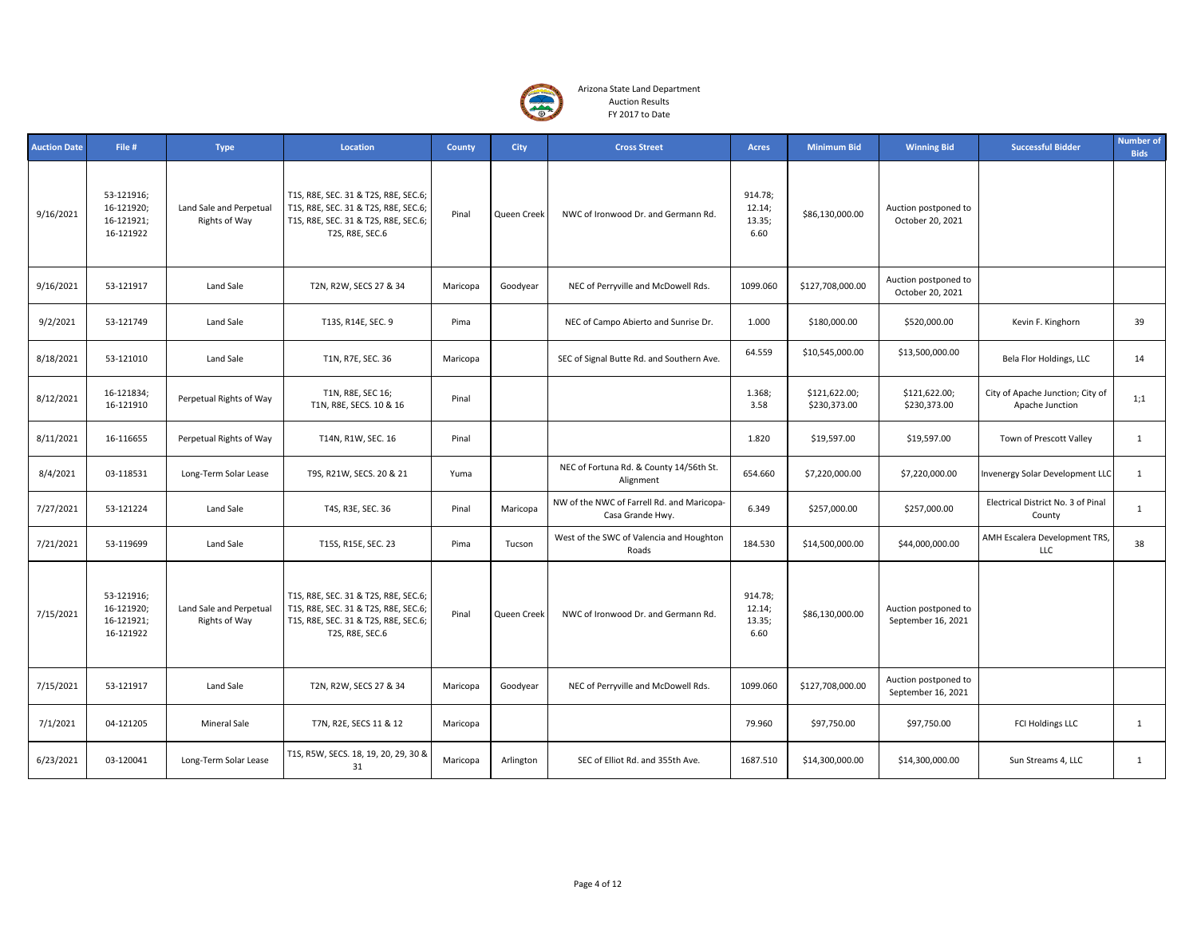

| <b>Auction Date</b> | File #                                              | <b>Type</b>                              | Location                                                                                                                                | County   | City        | <b>Cross Street</b>                                            | <b>Acres</b>                        | <b>Minimum Bid</b>            | <b>Winning Bid</b>                         | <b>Successful Bidder</b>                            | <b>Number of</b><br><b>Bids</b> |
|---------------------|-----------------------------------------------------|------------------------------------------|-----------------------------------------------------------------------------------------------------------------------------------------|----------|-------------|----------------------------------------------------------------|-------------------------------------|-------------------------------|--------------------------------------------|-----------------------------------------------------|---------------------------------|
| 9/16/2021           | 53-121916;<br>16-121920;<br>16-121921;<br>16-121922 | Land Sale and Perpetual<br>Rights of Way | T1S, R8E, SEC. 31 & T2S, R8E, SEC.6;<br>T1S, R8E, SEC. 31 & T2S, R8E, SEC.6;<br>T1S, R8E, SEC. 31 & T2S, R8E, SEC.6;<br>T2S, R8E, SEC.6 | Pinal    | Queen Creek | NWC of Ironwood Dr. and Germann Rd.                            | 914.78;<br>12.14;<br>13.35;<br>6.60 | \$86,130,000.00               | Auction postponed to<br>October 20, 2021   |                                                     |                                 |
| 9/16/2021           | 53-121917                                           | Land Sale                                | T2N, R2W, SECS 27 & 34                                                                                                                  | Maricopa | Goodyear    | NEC of Perryville and McDowell Rds.                            | 1099.060                            | \$127,708,000.00              | Auction postponed to<br>October 20, 2021   |                                                     |                                 |
| 9/2/2021            | 53-121749                                           | Land Sale                                | T13S, R14E, SEC. 9                                                                                                                      | Pima     |             | NEC of Campo Abierto and Sunrise Dr.                           | 1.000                               | \$180,000.00                  | \$520,000.00                               | Kevin F. Kinghorn                                   | 39                              |
| 8/18/2021           | 53-121010                                           | Land Sale                                | T1N, R7E, SEC. 36                                                                                                                       | Maricopa |             | SEC of Signal Butte Rd. and Southern Ave.                      | 64.559                              | \$10,545,000.00               | \$13,500,000.00                            | Bela Flor Holdings, LLC                             | 14                              |
| 8/12/2021           | 16-121834;<br>16-121910                             | Perpetual Rights of Way                  | T1N, R8E, SEC 16;<br>T1N, R8E, SECS. 10 & 16                                                                                            | Pinal    |             |                                                                | 1.368;<br>3.58                      | \$121,622.00;<br>\$230,373.00 | \$121,622.00;<br>\$230,373.00              | City of Apache Junction; City of<br>Apache Junction | 1;1                             |
| 8/11/2021           | 16-116655                                           | Perpetual Rights of Way                  | T14N, R1W, SEC. 16                                                                                                                      | Pinal    |             |                                                                | 1.820                               | \$19,597.00                   | \$19,597.00                                | Town of Prescott Valley                             | $\mathbf{1}$                    |
| 8/4/2021            | 03-118531                                           | Long-Term Solar Lease                    | T9S, R21W, SECS. 20 & 21                                                                                                                | Yuma     |             | NEC of Fortuna Rd. & County 14/56th St.<br>Alignment           | 654.660                             | \$7,220,000.00                | \$7,220,000.00                             | Invenergy Solar Development LLC                     | $\mathbf{1}$                    |
| 7/27/2021           | 53-121224                                           | Land Sale                                | T4S, R3E, SEC. 36                                                                                                                       | Pinal    | Maricopa    | NW of the NWC of Farrell Rd. and Maricopa-<br>Casa Grande Hwy. | 6.349                               | \$257,000.00                  | \$257,000.00                               | Electrical District No. 3 of Pinal<br>County        | $\mathbf{1}$                    |
| 7/21/2021           | 53-119699                                           | Land Sale                                | T15S, R15E, SEC. 23                                                                                                                     | Pima     | Tucson      | West of the SWC of Valencia and Houghton<br>Roads              | 184.530                             | \$14,500,000.00               | \$44,000,000.00                            | AMH Escalera Development TRS,<br>LLC                | 38                              |
| 7/15/2021           | 53-121916;<br>16-121920;<br>16-121921;<br>16-121922 | Land Sale and Perpetual<br>Rights of Way | T1S, R8E, SEC. 31 & T2S, R8E, SEC.6;<br>T1S, R8E, SEC. 31 & T2S, R8E, SEC.6;<br>T1S, R8E, SEC. 31 & T2S, R8E, SEC.6;<br>T2S, R8E, SEC.6 | Pinal    | Queen Creek | NWC of Ironwood Dr. and Germann Rd.                            | 914.78;<br>12.14;<br>13.35;<br>6.60 | \$86,130,000.00               | Auction postponed to<br>September 16, 2021 |                                                     |                                 |
| 7/15/2021           | 53-121917                                           | Land Sale                                | T2N, R2W, SECS 27 & 34                                                                                                                  | Maricopa | Goodyear    | NEC of Perryville and McDowell Rds.                            | 1099.060                            | \$127,708,000.00              | Auction postponed to<br>September 16, 2021 |                                                     |                                 |
| 7/1/2021            | 04-121205                                           | <b>Mineral Sale</b>                      | T7N, R2E, SECS 11 & 12                                                                                                                  | Maricopa |             |                                                                | 79.960                              | \$97,750.00                   | \$97,750.00                                | FCI Holdings LLC                                    | $\mathbf{1}$                    |
| 6/23/2021           | 03-120041                                           | Long-Term Solar Lease                    | T1S, R5W, SECS. 18, 19, 20, 29, 30 &<br>31                                                                                              | Maricopa | Arlington   | SEC of Elliot Rd. and 355th Ave.                               | 1687.510                            | \$14,300,000.00               | \$14,300,000.00                            | Sun Streams 4, LLC                                  | $\mathbf{1}$                    |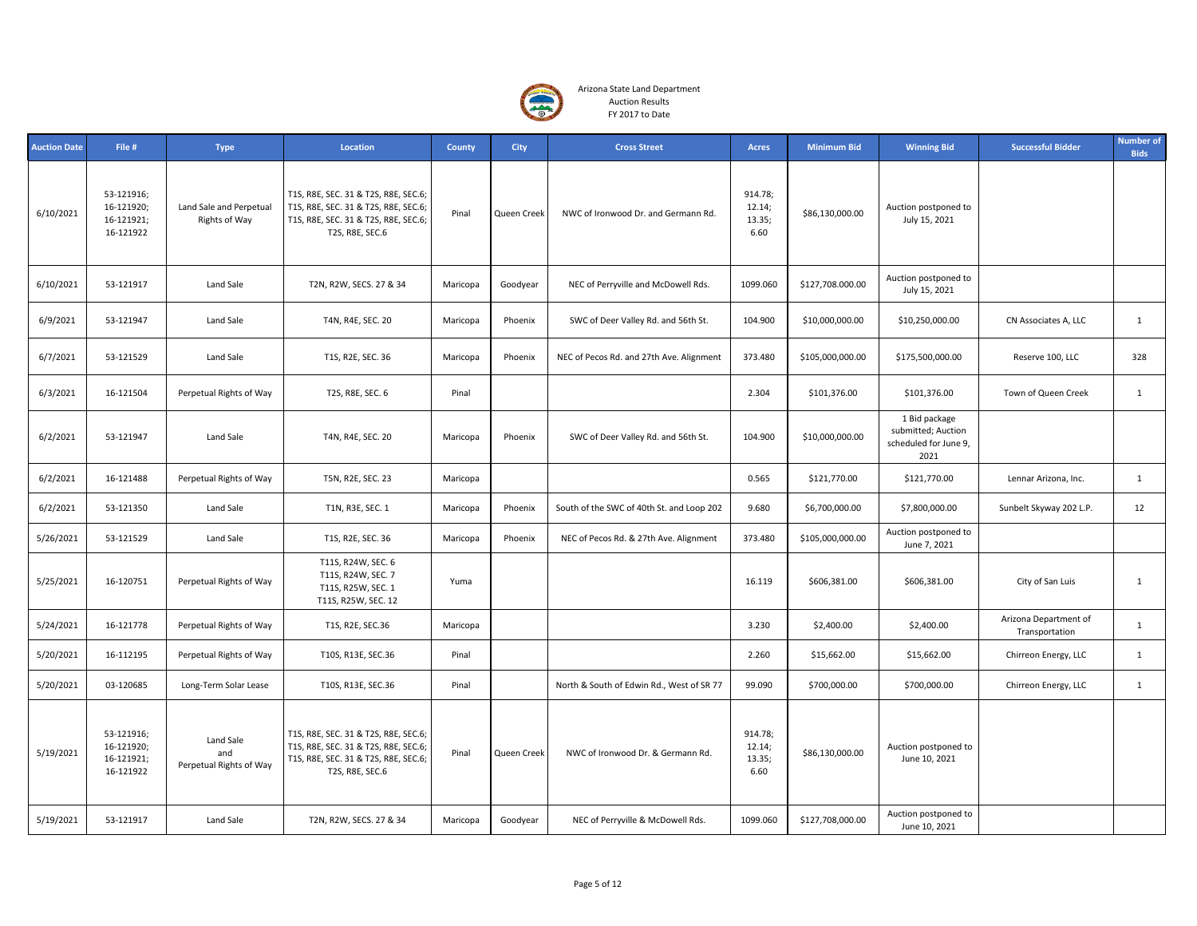

| <b>Auction Date</b> | File #                                              | <b>Type</b>                                 | Location                                                                                                                                | <b>County</b> | <b>City</b> | <b>Cross Street</b>                       | <b>Acres</b>                        | <b>Minimum Bid</b> | <b>Winning Bid</b>                                                   | <b>Successful Bidder</b>                | <b>Number of</b><br><b>Bids</b> |
|---------------------|-----------------------------------------------------|---------------------------------------------|-----------------------------------------------------------------------------------------------------------------------------------------|---------------|-------------|-------------------------------------------|-------------------------------------|--------------------|----------------------------------------------------------------------|-----------------------------------------|---------------------------------|
| 6/10/2021           | 53-121916;<br>16-121920;<br>16-121921;<br>16-121922 | Land Sale and Perpetual<br>Rights of Way    | T1S, R8E, SEC. 31 & T2S, R8E, SEC.6;<br>T1S, R8E, SEC. 31 & T2S, R8E, SEC.6;<br>T1S, R8E, SEC. 31 & T2S, R8E, SEC.6;<br>T2S, R8E, SEC.6 | Pinal         | Queen Creek | NWC of Ironwood Dr. and Germann Rd.       | 914.78;<br>12.14;<br>13.35;<br>6.60 | \$86,130,000.00    | Auction postponed to<br>July 15, 2021                                |                                         |                                 |
| 6/10/2021           | 53-121917                                           | Land Sale                                   | T2N, R2W, SECS. 27 & 34                                                                                                                 | Maricopa      | Goodyear    | NEC of Perryville and McDowell Rds.       | 1099.060                            | \$127,708.000.00   | Auction postponed to<br>July 15, 2021                                |                                         |                                 |
| 6/9/2021            | 53-121947                                           | Land Sale                                   | T4N, R4E, SEC. 20                                                                                                                       | Maricopa      | Phoenix     | SWC of Deer Valley Rd. and 56th St.       | 104.900                             | \$10,000,000.00    | \$10,250,000.00                                                      | CN Associates A, LLC                    | $\mathbf{1}$                    |
| 6/7/2021            | 53-121529                                           | Land Sale                                   | T1S, R2E, SEC. 36                                                                                                                       | Maricopa      | Phoenix     | NEC of Pecos Rd. and 27th Ave. Alignment  | 373.480                             | \$105,000,000.00   | \$175,500,000.00                                                     | Reserve 100, LLC                        | 328                             |
| 6/3/2021            | 16-121504                                           | Perpetual Rights of Way                     | T2S, R8E, SEC. 6                                                                                                                        | Pinal         |             |                                           | 2.304                               | \$101,376.00       | \$101,376.00                                                         | Town of Queen Creek                     | $\mathbf{1}$                    |
| 6/2/2021            | 53-121947                                           | Land Sale                                   | T4N, R4E, SEC. 20                                                                                                                       | Maricopa      | Phoenix     | SWC of Deer Valley Rd. and 56th St.       | 104.900                             | \$10,000,000.00    | 1 Bid package<br>submitted; Auction<br>scheduled for June 9,<br>2021 |                                         |                                 |
| 6/2/2021            | 16-121488                                           | Perpetual Rights of Way                     | T5N, R2E, SEC. 23                                                                                                                       | Maricopa      |             |                                           | 0.565                               | \$121,770.00       | \$121,770.00                                                         | Lennar Arizona, Inc.                    | $\mathbf{1}$                    |
| 6/2/2021            | 53-121350                                           | Land Sale                                   | T1N, R3E, SEC. 1                                                                                                                        | Maricopa      | Phoenix     | South of the SWC of 40th St. and Loop 202 | 9.680                               | \$6,700,000.00     | \$7,800,000.00                                                       | Sunbelt Skyway 202 L.P.                 | 12                              |
| 5/26/2021           | 53-121529                                           | Land Sale                                   | T1S, R2E, SEC. 36                                                                                                                       | Maricopa      | Phoenix     | NEC of Pecos Rd. & 27th Ave. Alignment    | 373.480                             | \$105,000,000.00   | Auction postponed to<br>June 7, 2021                                 |                                         |                                 |
| 5/25/2021           | 16-120751                                           | Perpetual Rights of Way                     | T11S, R24W, SEC. 6<br>T11S, R24W, SEC. 7<br>T11S, R25W, SEC. 1<br>T11S, R25W, SEC. 12                                                   | Yuma          |             |                                           | 16.119                              | \$606,381.00       | \$606,381.00                                                         | City of San Luis                        | $\mathbf{1}$                    |
| 5/24/2021           | 16-121778                                           | Perpetual Rights of Way                     | T1S, R2E, SEC.36                                                                                                                        | Maricopa      |             |                                           | 3.230                               | \$2,400.00         | \$2,400.00                                                           | Arizona Department of<br>Transportation | $\mathbf{1}$                    |
| 5/20/2021           | 16-112195                                           | Perpetual Rights of Way                     | T10S, R13E, SEC.36                                                                                                                      | Pinal         |             |                                           | 2.260                               | \$15,662.00        | \$15,662.00                                                          | Chirreon Energy, LLC                    | $\mathbf{1}$                    |
| 5/20/2021           | 03-120685                                           | Long-Term Solar Lease                       | T10S, R13E, SEC.36                                                                                                                      | Pinal         |             | North & South of Edwin Rd., West of SR 77 | 99.090                              | \$700,000.00       | \$700,000.00                                                         | Chirreon Energy, LLC                    | $\mathbf{1}$                    |
| 5/19/2021           | 53-121916;<br>16-121920;<br>16-121921;<br>16-121922 | Land Sale<br>and<br>Perpetual Rights of Way | T1S, R8E, SEC. 31 & T2S, R8E, SEC.6;<br>T1S, R8E, SEC. 31 & T2S, R8E, SEC.6;<br>T1S, R8E, SEC. 31 & T2S, R8E, SEC.6;<br>T2S, R8E, SEC.6 | Pinal         | Queen Creek | NWC of Ironwood Dr. & Germann Rd.         | 914.78;<br>12.14;<br>13.35;<br>6.60 | \$86,130,000.00    | Auction postponed to<br>June 10, 2021                                |                                         |                                 |
| 5/19/2021           | 53-121917                                           | Land Sale                                   | T2N, R2W, SECS. 27 & 34                                                                                                                 | Maricopa      | Goodyear    | NEC of Perryville & McDowell Rds.         | 1099.060                            | \$127,708,000.00   | Auction postponed to<br>June 10, 2021                                |                                         |                                 |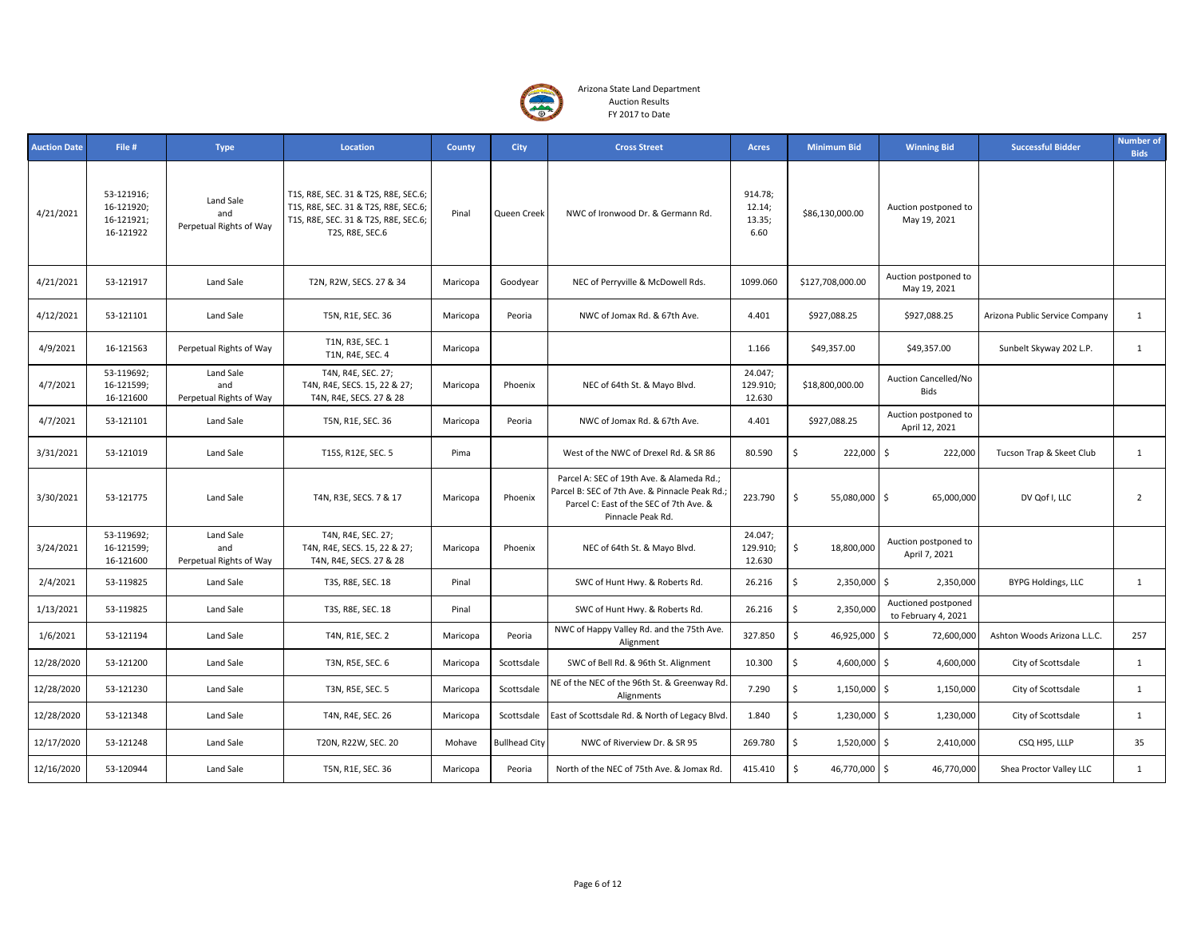

| <b>Auction Date</b> | File #                                              | <b>Type</b>                                 | Location                                                                                                                                | County   | <b>City</b>          | <b>Cross Street</b>                                                                                                                                        | <b>Acres</b>                        | <b>Minimum Bid</b>  | <b>Winning Bid</b>                         | <b>Successful Bidder</b>       | <b>Number of</b><br><b>Bids</b> |
|---------------------|-----------------------------------------------------|---------------------------------------------|-----------------------------------------------------------------------------------------------------------------------------------------|----------|----------------------|------------------------------------------------------------------------------------------------------------------------------------------------------------|-------------------------------------|---------------------|--------------------------------------------|--------------------------------|---------------------------------|
| 4/21/2021           | 53-121916;<br>16-121920;<br>16-121921;<br>16-121922 | Land Sale<br>and<br>Perpetual Rights of Way | T1S, R8E, SEC. 31 & T2S, R8E, SEC.6;<br>T1S, R8E, SEC. 31 & T2S, R8E, SEC.6;<br>T1S, R8E, SEC. 31 & T2S, R8E, SEC.6;<br>T2S, R8E, SEC.6 | Pinal    | Queen Creek          | NWC of Ironwood Dr. & Germann Rd.                                                                                                                          | 914.78;<br>12.14;<br>13.35;<br>6.60 | \$86,130,000.00     | Auction postponed to<br>May 19, 2021       |                                |                                 |
| 4/21/2021           | 53-121917                                           | Land Sale                                   | T2N, R2W, SECS. 27 & 34                                                                                                                 | Maricopa | Goodyear             | NEC of Perryville & McDowell Rds.                                                                                                                          | 1099.060                            | \$127,708,000.00    | Auction postponed to<br>May 19, 2021       |                                |                                 |
| 4/12/2021           | 53-121101                                           | Land Sale                                   | T5N, R1E, SEC. 36                                                                                                                       | Maricopa | Peoria               | NWC of Jomax Rd. & 67th Ave.                                                                                                                               | 4.401                               | \$927,088.25        | \$927,088.25                               | Arizona Public Service Company | $\mathbf{1}$                    |
| 4/9/2021            | 16-121563                                           | Perpetual Rights of Way                     | T1N, R3E, SEC. 1<br>T1N, R4E, SEC. 4                                                                                                    | Maricopa |                      |                                                                                                                                                            | 1.166                               | \$49,357.00         | \$49,357.00                                | Sunbelt Skyway 202 L.P.        | $\mathbf{1}$                    |
| 4/7/2021            | 53-119692;<br>16-121599;<br>16-121600               | Land Sale<br>and<br>Perpetual Rights of Way | T4N, R4E, SEC. 27;<br>T4N, R4E, SECS. 15, 22 & 27;<br>T4N, R4E, SECS. 27 & 28                                                           | Maricopa | Phoenix              | NEC of 64th St. & Mayo Blvd.                                                                                                                               | 24.047;<br>129.910;<br>12.630       | \$18,800,000.00     | Auction Cancelled/No<br>Bids               |                                |                                 |
| 4/7/2021            | 53-121101                                           | Land Sale                                   | T5N, R1E, SEC. 36                                                                                                                       | Maricopa | Peoria               | NWC of Jomax Rd. & 67th Ave.                                                                                                                               | 4.401                               | \$927,088.25        | Auction postponed to<br>April 12, 2021     |                                |                                 |
| 3/31/2021           | 53-121019                                           | Land Sale                                   | T15S, R12E, SEC. 5                                                                                                                      | Pima     |                      | West of the NWC of Drexel Rd. & SR 86                                                                                                                      | 80.590                              | \$<br>222,000 \$    | 222,000                                    | Tucson Trap & Skeet Club       | $\mathbf{1}$                    |
| 3/30/2021           | 53-121775                                           | Land Sale                                   | T4N, R3E, SECS. 7 & 17                                                                                                                  | Maricopa | Phoenix              | Parcel A: SEC of 19th Ave. & Alameda Rd.;<br>Parcel B: SEC of 7th Ave. & Pinnacle Peak Rd.<br>Parcel C: East of the SEC of 7th Ave. &<br>Pinnacle Peak Rd. | 223.790                             | \$<br>55,080,000 \$ | 65,000,000                                 | DV Qof I, LLC                  | $\overline{2}$                  |
| 3/24/2021           | 53-119692;<br>16-121599;<br>16-121600               | Land Sale<br>and<br>Perpetual Rights of Way | T4N, R4E, SEC. 27;<br>T4N, R4E, SECS. 15, 22 & 27;<br>T4N, R4E, SECS. 27 & 28                                                           | Maricopa | Phoenix              | NEC of 64th St. & Mayo Blvd.                                                                                                                               | 24.047;<br>129.910;<br>12.630       | \$<br>18,800,000    | Auction postponed to<br>April 7, 2021      |                                |                                 |
| 2/4/2021            | 53-119825                                           | Land Sale                                   | T3S, R8E, SEC. 18                                                                                                                       | Pinal    |                      | SWC of Hunt Hwy. & Roberts Rd.                                                                                                                             | 26.216                              | \$<br>2,350,000 \$  | 2,350,000                                  | BYPG Holdings, LLC             | $\mathbf{1}$                    |
| 1/13/2021           | 53-119825                                           | Land Sale                                   | T3S, R8E, SEC. 18                                                                                                                       | Pinal    |                      | SWC of Hunt Hwy. & Roberts Rd.                                                                                                                             | 26.216                              | \$<br>2,350,000     | Auctioned postponed<br>to February 4, 2021 |                                |                                 |
| 1/6/2021            | 53-121194                                           | Land Sale                                   | T4N, R1E, SEC. 2                                                                                                                        | Maricopa | Peoria               | NWC of Happy Valley Rd. and the 75th Ave.<br>Alignment                                                                                                     | 327.850                             | \$<br>46,925,000    | $\mathsf{S}$<br>72,600,000                 | Ashton Woods Arizona L.L.C.    | 257                             |
| 12/28/2020          | 53-121200                                           | Land Sale                                   | T3N, R5E, SEC. 6                                                                                                                        | Maricopa | Scottsdale           | SWC of Bell Rd. & 96th St. Alignment                                                                                                                       | 10.300                              | \$<br>4,600,000 \$  | 4,600,000                                  | City of Scottsdale             | 1                               |
| 12/28/2020          | 53-121230                                           | Land Sale                                   | T3N, R5E, SEC. 5                                                                                                                        | Maricopa | Scottsdale           | NE of the NEC of the 96th St. & Greenway Rd.<br>Alignments                                                                                                 | 7.290                               | \$<br>1,150,000 \$  | 1,150,000                                  | City of Scottsdale             | $\mathbf{1}$                    |
| 12/28/2020          | 53-121348                                           | Land Sale                                   | T4N, R4E, SEC. 26                                                                                                                       | Maricopa | Scottsdale           | East of Scottsdale Rd. & North of Legacy Blvd.                                                                                                             | 1.840                               | \$<br>1,230,000 \$  | 1,230,000                                  | City of Scottsdale             | $\mathbf{1}$                    |
| 12/17/2020          | 53-121248                                           | Land Sale                                   | T20N, R22W, SEC. 20                                                                                                                     | Mohave   | <b>Bullhead City</b> | NWC of Riverview Dr. & SR 95                                                                                                                               | 269.780                             | \$<br>1,520,000 \$  | 2,410,000                                  | CSQ H95, LLLP                  | 35                              |
| 12/16/2020          | 53-120944                                           | Land Sale                                   | T5N, R1E, SEC. 36                                                                                                                       | Maricopa | Peoria               | North of the NEC of 75th Ave. & Jomax Rd.                                                                                                                  | 415.410                             | Ś.<br>46,770,000 \$ | 46,770,000                                 | Shea Proctor Valley LLC        | 1                               |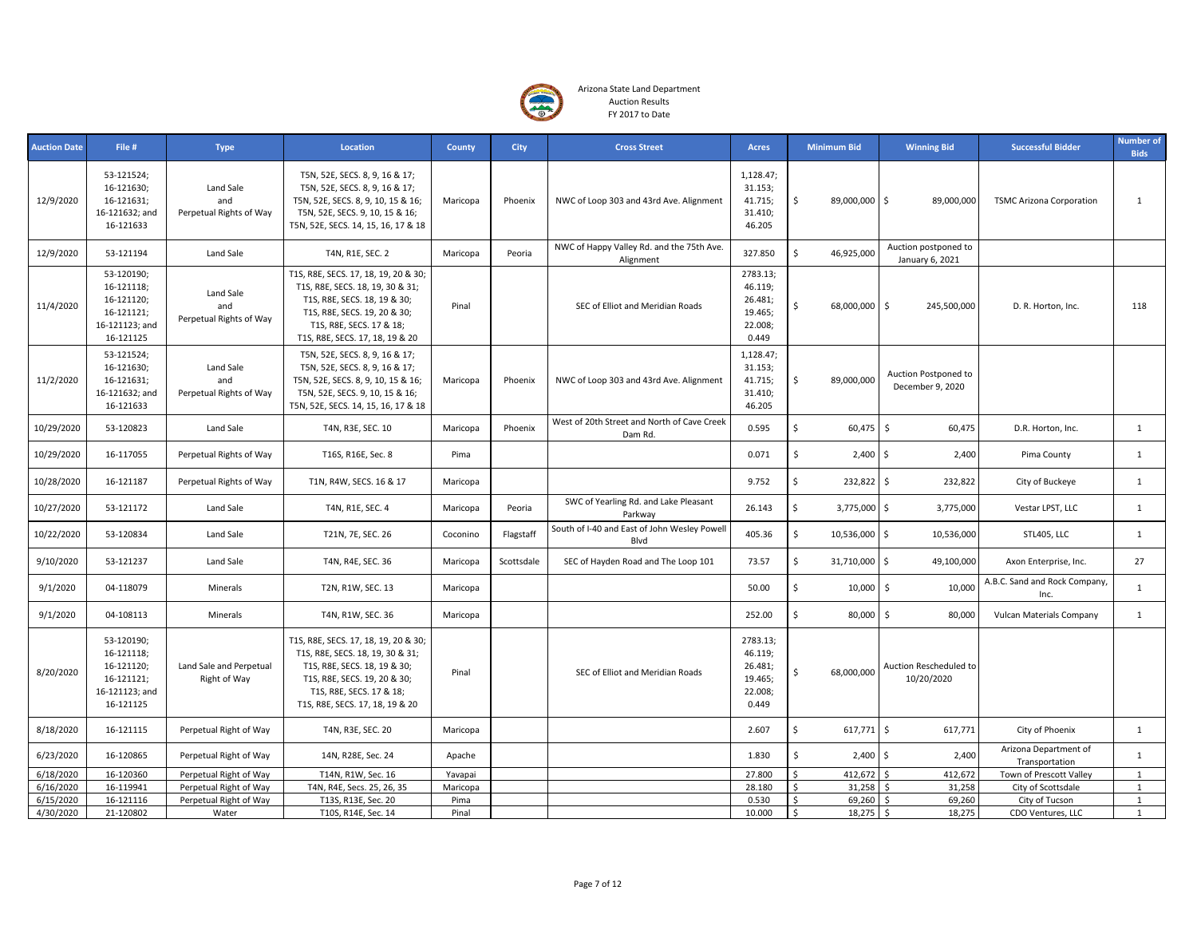

| <b>Auction Date</b> | File #                                                                              | <b>Type</b>                                 | Location                                                                                                                                                                                                | <b>County</b> | <b>City</b> | <b>Cross Street</b>                                    | Acres                                                         | <b>Minimum Bid</b>                   | <b>Winning Bid</b>                       | <b>Successful Bidder</b>                | <b>Number of</b><br><b>Bids</b> |
|---------------------|-------------------------------------------------------------------------------------|---------------------------------------------|---------------------------------------------------------------------------------------------------------------------------------------------------------------------------------------------------------|---------------|-------------|--------------------------------------------------------|---------------------------------------------------------------|--------------------------------------|------------------------------------------|-----------------------------------------|---------------------------------|
| 12/9/2020           | 53-121524;<br>16-121630;<br>16-121631;<br>16-121632; and<br>16-121633               | Land Sale<br>and<br>Perpetual Rights of Way | T5N, 52E, SECS. 8, 9, 16 & 17;<br>T5N, 52E, SECS. 8, 9, 16 & 17;<br>T5N, 52E, SECS. 8, 9, 10, 15 & 16;<br>T5N, 52E, SECS. 9, 10, 15 & 16;<br>T5N, 52E, SECS. 14, 15, 16, 17 & 18                        | Maricopa      | Phoenix     | NWC of Loop 303 and 43rd Ave. Alignment                | 1,128.47;<br>31.153;<br>41.715;<br>31.410;<br>46.205          | \$<br>89,000,000                     | \$<br>89,000,000                         | <b>TSMC Arizona Corporation</b>         | $\mathbf{1}$                    |
| 12/9/2020           | 53-121194                                                                           | Land Sale                                   | T4N, R1E, SEC. 2                                                                                                                                                                                        | Maricopa      | Peoria      | NWC of Happy Valley Rd. and the 75th Ave.<br>Alignment | 327.850                                                       | \$<br>46,925,000                     | Auction postponed to<br>January 6, 2021  |                                         |                                 |
| 11/4/2020           | 53-120190;<br>16-121118;<br>16-121120;<br>16-121121;<br>16-121123; and<br>16-121125 | Land Sale<br>and<br>Perpetual Rights of Way | T1S, R8E, SECS. 17, 18, 19, 20 & 30;<br>T1S, R8E, SECS. 18, 19, 30 & 31;<br>T1S, R8E, SECS. 18, 19 & 30;<br>T1S, R8E, SECS. 19, 20 & 30;<br>T1S, R8E, SECS. 17 & 18;<br>T1S, R8E, SECS. 17, 18, 19 & 20 | Pinal         |             | SEC of Elliot and Meridian Roads                       | 2783.13;<br>46.119;<br>26.481;<br>19.465;<br>22.008;<br>0.449 | \$<br>68,000,000                     | \$<br>245,500,000                        | D. R. Horton, Inc.                      | 118                             |
| 11/2/2020           | 53-121524;<br>16-121630;<br>16-121631;<br>16-121632; and<br>16-121633               | Land Sale<br>and<br>Perpetual Rights of Way | T5N, 52E, SECS. 8, 9, 16 & 17;<br>T5N, 52E, SECS. 8, 9, 16 & 17;<br>T5N, 52E, SECS. 8, 9, 10, 15 & 16;<br>T5N, 52E, SECS. 9, 10, 15 & 16;<br>T5N, 52E, SECS. 14, 15, 16, 17 & 18                        | Maricopa      | Phoenix     | NWC of Loop 303 and 43rd Ave. Alignment                | 1,128.47;<br>31.153;<br>41.715;<br>31.410;<br>46.205          | \$<br>89,000,000                     | Auction Postponed to<br>December 9, 2020 |                                         |                                 |
| 10/29/2020          | 53-120823                                                                           | Land Sale                                   | T4N, R3E, SEC. 10                                                                                                                                                                                       | Maricopa      | Phoenix     | West of 20th Street and North of Cave Creek<br>Dam Rd. | 0.595                                                         | \$<br>60,475                         | Ŝ.<br>60,475                             | D.R. Horton, Inc.                       | $\mathbf{1}$                    |
| 10/29/2020          | 16-117055                                                                           | Perpetual Rights of Way                     | T16S, R16E, Sec. 8                                                                                                                                                                                      | Pima          |             |                                                        | 0.071                                                         | \$<br>2,400                          | Ś<br>2,400                               | Pima County                             | $\mathbf{1}$                    |
| 10/28/2020          | 16-121187                                                                           | Perpetual Rights of Way                     | T1N, R4W, SECS. 16 & 17                                                                                                                                                                                 | Maricopa      |             |                                                        | 9.752                                                         | \$<br>232,822 \$                     | 232,822                                  | City of Buckeye                         | $\mathbf{1}$                    |
| 10/27/2020          | 53-121172                                                                           | Land Sale                                   | T4N, R1E, SEC. 4                                                                                                                                                                                        | Maricopa      | Peoria      | SWC of Yearling Rd. and Lake Pleasant<br>Parkway       | 26.143                                                        | $\mathsf{\hat{S}}$<br>3,775,000 \$   | 3,775,000                                | Vestar LPST, LLC                        | $\mathbf{1}$                    |
| 10/22/2020          | 53-120834                                                                           | Land Sale                                   | T21N, 7E, SEC. 26                                                                                                                                                                                       | Coconino      | Flagstaff   | South of I-40 and East of John Wesley Powell<br>Blvd   | 405.36                                                        | \$<br>10,536,000 \$                  | 10,536,000                               | STL405, LLC                             | $\mathbf{1}$                    |
| 9/10/2020           | 53-121237                                                                           | Land Sale                                   | T4N, R4E, SEC. 36                                                                                                                                                                                       | Maricopa      | Scottsdale  | SEC of Hayden Road and The Loop 101                    | 73.57                                                         | \$<br>31,710,000 \$                  | 49,100,000                               | Axon Enterprise, Inc.                   | 27                              |
| 9/1/2020            | 04-118079                                                                           | Minerals                                    | T2N, R1W, SEC. 13                                                                                                                                                                                       | Maricopa      |             |                                                        | 50.00                                                         | \$<br>$10,000$ \$                    | 10,000                                   | A.B.C. Sand and Rock Company,<br>Inc.   | 1                               |
| 9/1/2020            | 04-108113                                                                           | Minerals                                    | T4N, R1W, SEC. 36                                                                                                                                                                                       | Maricopa      |             |                                                        | 252.00                                                        | $\overline{\mathsf{S}}$<br>80,000 \$ | 80,000                                   | Vulcan Materials Company                | $\mathbf{1}$                    |
| 8/20/2020           | 53-120190;<br>16-121118;<br>16-121120;<br>16-121121;<br>16-121123; and<br>16-121125 | Land Sale and Perpetual<br>Right of Way     | T1S, R8E, SECS. 17, 18, 19, 20 & 30;<br>T1S, R8E, SECS. 18, 19, 30 & 31;<br>T1S, R8E, SECS. 18, 19 & 30;<br>T1S, R8E, SECS. 19, 20 & 30;<br>T1S, R8E, SECS. 17 & 18;<br>T1S, R8E, SECS. 17, 18, 19 & 20 | Pinal         |             | SEC of Elliot and Meridian Roads                       | 2783.13;<br>46.119;<br>26.481;<br>19.465;<br>22.008;<br>0.449 | \$<br>68,000,000                     | Auction Rescheduled to<br>10/20/2020     |                                         |                                 |
| 8/18/2020           | 16-121115                                                                           | Perpetual Right of Way                      | T4N, R3E, SEC. 20                                                                                                                                                                                       | Maricopa      |             |                                                        | 2.607                                                         | \$<br>617,771                        | $\ddot{\mathsf{s}}$<br>617,771           | City of Phoenix                         | 1                               |
| 6/23/2020           | 16-120865                                                                           | Perpetual Right of Way                      | 14N, R28E, Sec. 24                                                                                                                                                                                      | Apache        |             |                                                        | 1.830                                                         | \$<br>$2,400$ \$                     | 2,400                                    | Arizona Department of<br>Transportation | $\mathbf{1}$                    |
| 6/18/2020           | 16-120360                                                                           | Perpetual Right of Way                      | T14N, R1W, Sec. 16                                                                                                                                                                                      | Yavapai       |             |                                                        | 27.800                                                        | Ś<br>412,672                         | <sup>\$</sup><br>412,672                 | Town of Prescott Valley                 | $\mathbf{1}$                    |
| 6/16/2020           | 16-119941                                                                           | Perpetual Right of Way                      | T4N, R4E, Secs. 25, 26, 35                                                                                                                                                                              | Maricopa      |             |                                                        | 28.180                                                        | \$<br>31,258                         | <sup>\$</sup><br>31,258                  | City of Scottsdale                      | $\mathbf{1}$                    |
| 6/15/2020           | 16-121116                                                                           | Perpetual Right of Way                      | T13S, R13E, Sec. 20                                                                                                                                                                                     | Pima          |             |                                                        | 0.530                                                         | Ŝ.<br>69,260                         | 69,260<br>-Ś                             | City of Tucson                          | $\mathbf{1}$                    |
| 4/30/2020           | 21-120802                                                                           | Water                                       | T10S, R14E, Sec. 14                                                                                                                                                                                     | Pinal         |             |                                                        | 10.000                                                        | $\mathsf{S}$<br>$18,275$ \$          | 18,275                                   | CDO Ventures, LLC                       | 1                               |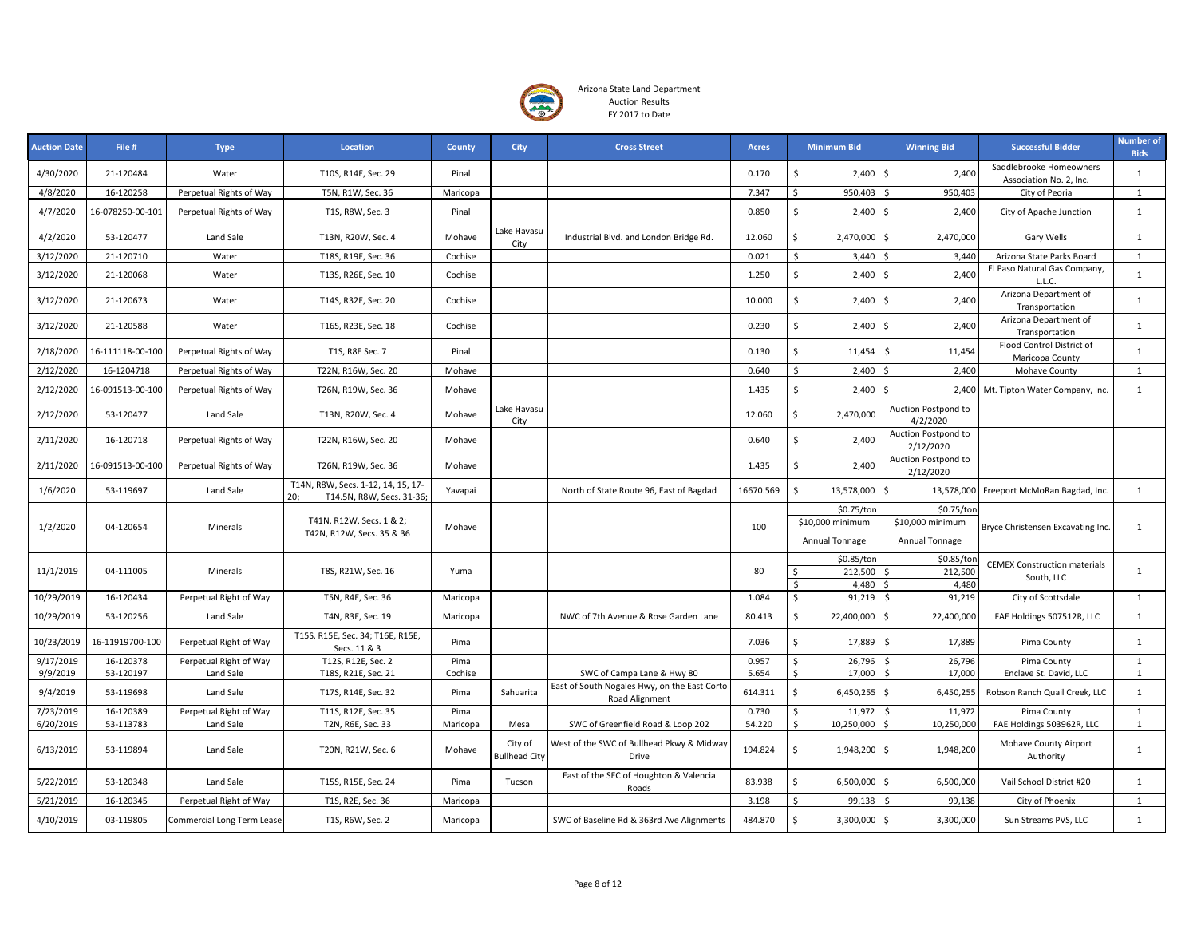

| <b>Auction Date</b> | File #           | <b>Type</b>                       | Location                                                               | County   | <b>City</b>                     | <b>Cross Street</b>                                            | <b>Acres</b> | <b>Minimum Bid</b>                 | <b>Winning Bid</b>                 | <b>Successful Bidder</b>                           | <b>Number of</b><br><b>Bids</b> |
|---------------------|------------------|-----------------------------------|------------------------------------------------------------------------|----------|---------------------------------|----------------------------------------------------------------|--------------|------------------------------------|------------------------------------|----------------------------------------------------|---------------------------------|
| 4/30/2020           | 21-120484        | Water                             | T10S, R14E, Sec. 29                                                    | Pinal    |                                 |                                                                | 0.170        | \$<br>2,400                        | \$<br>2,400                        | Saddlebrooke Homeowners<br>Association No. 2, Inc. | 1                               |
| 4/8/2020            | 16-120258        | Perpetual Rights of Way           | T5N, R1W, Sec. 36                                                      | Maricopa |                                 |                                                                | 7.347        | $\mathsf{\hat{S}}$<br>950,403      | <sup>\$</sup><br>950,403           | City of Peoria                                     | $\mathbf{1}$                    |
| 4/7/2020            | 16-078250-00-101 | Perpetual Rights of Way           | T1S, R8W, Sec. 3                                                       | Pinal    |                                 |                                                                | 0.850        | \$<br>$2,400$ \$                   | 2,400                              | City of Apache Junction                            | 1                               |
| 4/2/2020            | 53-120477        | Land Sale                         | T13N, R20W, Sec. 4                                                     | Mohave   | Lake Havasu<br>City             | Industrial Blvd. and London Bridge Rd.                         | 12.060       | \$<br>2,470,000 \$                 | 2,470,000                          | Gary Wells                                         | 1                               |
| 3/12/2020           | 21-120710        | Water                             | T18S, R19E, Sec. 36                                                    | Cochise  |                                 |                                                                | 0.021        | \$<br>3,440                        | Ŝ.<br>3,440                        | Arizona State Parks Board                          | 1                               |
| 3/12/2020           | 21-120068        | Water                             | T13S, R26E, Sec. 10                                                    | Cochise  |                                 |                                                                | 1.250        | \$<br>$2,400$ \$                   | 2,400                              | El Paso Natural Gas Company,<br>L.L.C.             | 1                               |
| 3/12/2020           | 21-120673        | Water                             | T14S, R32E, Sec. 20                                                    | Cochise  |                                 |                                                                | 10.000       | $\mathsf{\$}$<br>$2,400$ \$        | 2,400                              | Arizona Department of<br>Transportation            | 1                               |
| 3/12/2020           | 21-120588        | Water                             | T16S, R23E, Sec. 18                                                    | Cochise  |                                 |                                                                | 0.230        | \$<br>$2,400$ \$                   | 2,400                              | Arizona Department of<br>Transportation            | 1                               |
| 2/18/2020           | 16-111118-00-100 | Perpetual Rights of Way           | T1S, R8E Sec. 7                                                        | Pinal    |                                 |                                                                | 0.130        | \$<br>11,454                       | $\ddot{\varsigma}$<br>11,454       | Flood Control District of<br>Maricopa County       | $\mathbf{1}$                    |
| 2/12/2020           | 16-1204718       | Perpetual Rights of Way           | T22N, R16W, Sec. 20                                                    | Mohave   |                                 |                                                                | 0.640        | \$<br>2,400                        | \$<br>2,400                        | Mohave County                                      | $\mathbf{1}$                    |
| 2/12/2020           | 16-091513-00-100 | Perpetual Rights of Way           | T26N, R19W, Sec. 36                                                    | Mohave   |                                 |                                                                | 1.435        | \$<br>$2,400$ \$                   |                                    | 2,400 Mt. Tipton Water Company, Inc.               | $\mathbf{1}$                    |
| 2/12/2020           | 53-120477        | Land Sale                         | T13N, R20W, Sec. 4                                                     | Mohave   | Lake Havasu<br>City             |                                                                | 12.060       | Ś.<br>2,470,000                    | Auction Postpond to<br>4/2/2020    |                                                    |                                 |
| 2/11/2020           | 16-120718        | Perpetual Rights of Way           | T22N, R16W, Sec. 20                                                    | Mohave   |                                 |                                                                | 0.640        | \$<br>2,400                        | Auction Postpond to<br>2/12/2020   |                                                    |                                 |
| 2/11/2020           | 16-091513-00-100 | Perpetual Rights of Way           | T26N, R19W, Sec. 36                                                    | Mohave   |                                 |                                                                | 1.435        | \$<br>2,400                        | Auction Postpond to<br>2/12/2020   |                                                    |                                 |
| 1/6/2020            | 53-119697        | Land Sale                         | T14N, R8W, Secs. 1-12, 14, 15, 17-<br>T14.5N, R8W, Secs. 31-36;<br>20: | Yavapai  |                                 | North of State Route 96, East of Bagdad                        | 16670.569    | Ś<br>13,578,000                    | \$                                 | 13,578,000 Freeport McMoRan Bagdad, Inc.           | 1                               |
|                     |                  |                                   |                                                                        |          |                                 |                                                                |              | \$0.75/ton                         | \$0.75/ton                         |                                                    |                                 |
| 1/2/2020            | 04-120654        | Minerals                          | T41N, R12W, Secs. 1 & 2;<br>T42N, R12W, Secs. 35 & 36                  | Mohave   |                                 |                                                                | 100          | \$10,000 minimum<br>Annual Tonnage | \$10,000 minimum<br>Annual Tonnage | Bryce Christensen Excavating Inc.                  | $\mathbf{1}$                    |
|                     |                  |                                   |                                                                        |          |                                 |                                                                |              | \$0.85/ton                         | \$0.85/tor                         |                                                    |                                 |
| 11/1/2019           | 04-111005        | Minerals                          | T8S, R21W, Sec. 16                                                     | Yuma     |                                 |                                                                | 80           | Ŝ.<br>212,500                      | 212,500<br><sup>\$</sup>           | <b>CEMEX Construction materials</b>                | 1                               |
|                     |                  |                                   |                                                                        |          |                                 |                                                                |              | \$<br>4,480                        | 4,480                              | South, LLC                                         |                                 |
| 10/29/2019          | 16-120434        | Perpetual Right of Way            | T5N, R4E, Sec. 36                                                      | Maricopa |                                 |                                                                | 1.084        | \$<br>91,219                       | 91,219<br>Ŝ.                       | City of Scottsdale                                 | $\mathbf{1}$                    |
| 10/29/2019          | 53-120256        | Land Sale                         | T4N, R3E, Sec. 19                                                      | Maricopa |                                 | NWC of 7th Avenue & Rose Garden Lane                           | 80.413       | $\zeta$<br>22,400,000              | \$<br>22,400,000                   | FAE Holdings 507512R, LLC                          | 1                               |
| 10/23/2019          | 16-11919700-100  | Perpetual Right of Way            | T15S, R15E, Sec. 34; T16E, R15E,<br>Secs. 11 & 3                       | Pima     |                                 |                                                                | 7.036        | \$<br>17,889 \$                    | 17,889                             | Pima County                                        | 1                               |
| 9/17/2019           | 16-120378        | Perpetual Right of Way            | T12S, R12E, Sec. 2                                                     | Pima     |                                 |                                                                | 0.957        | \$<br>26,796                       | -\$<br>26,796                      | Pima County                                        | 1                               |
| 9/9/2019            | 53-120197        | Land Sale                         | T18S, R21E, Sec. 21                                                    | Cochise  |                                 | SWC of Campa Lane & Hwy 80                                     | 5.654        | $\mathsf{\hat{S}}$<br>17,000       | Ŝ.<br>17,000                       | Enclave St. David, LLC                             | 1                               |
| 9/4/2019            | 53-119698        | Land Sale                         | T17S, R14E, Sec. 32                                                    | Pima     | Sahuarita                       | East of South Nogales Hwy, on the East Corto<br>Road Alignment | 614.311      | Ś.<br>$6,450,255$ \$               | 6,450,255                          | Robson Ranch Quail Creek, LLC                      | 1                               |
| 7/23/2019           | 16-120389        | Perpetual Right of Way            | T11S, R12E, Sec. 35                                                    | Pima     |                                 |                                                                | 0.730        | \$<br>11,972                       | 11,972<br>\$                       | Pima County                                        | 1                               |
| 6/20/2019           | 53-113783        | Land Sale                         | T2N, R6E, Sec. 33                                                      | Maricopa | Mesa                            | SWC of Greenfield Road & Loop 202                              | 54.220       | \$<br>10,250,000                   | Ŝ.<br>10,250,000                   | FAE Holdings 503962R, LLC                          | 1                               |
| 6/13/2019           | 53-119894        | Land Sale                         | T20N, R21W, Sec. 6                                                     | Mohave   | City of<br><b>Bullhead City</b> | West of the SWC of Bullhead Pkwy & Midway<br>Drive             | 194.824      | \$<br>1,948,200 \$                 | 1,948,200                          | Mohave County Airport<br>Authority                 | 1                               |
| 5/22/2019           | 53-120348        | Land Sale                         | T15S, R15E, Sec. 24                                                    | Pima     | Tucson                          | East of the SEC of Houghton & Valencia<br>Roads                | 83.938       | \$<br>6,500,000 \$                 | 6,500,000                          | Vail School District #20                           | 1                               |
| 5/21/2019           | 16-120345        | Perpetual Right of Way            | T1S, R2E, Sec. 36                                                      | Maricopa |                                 |                                                                | 3.198        | 99,138<br>Ŝ.                       | 99,138<br>\$                       | City of Phoenix                                    | 1                               |
| 4/10/2019           | 03-119805        | <b>Commercial Long Term Lease</b> | T1S, R6W, Sec. 2                                                       | Maricopa |                                 | SWC of Baseline Rd & 363rd Ave Alignments                      | 484.870      | \$<br>3,300,000 \$                 | 3,300,000                          | Sun Streams PVS, LLC                               | 1                               |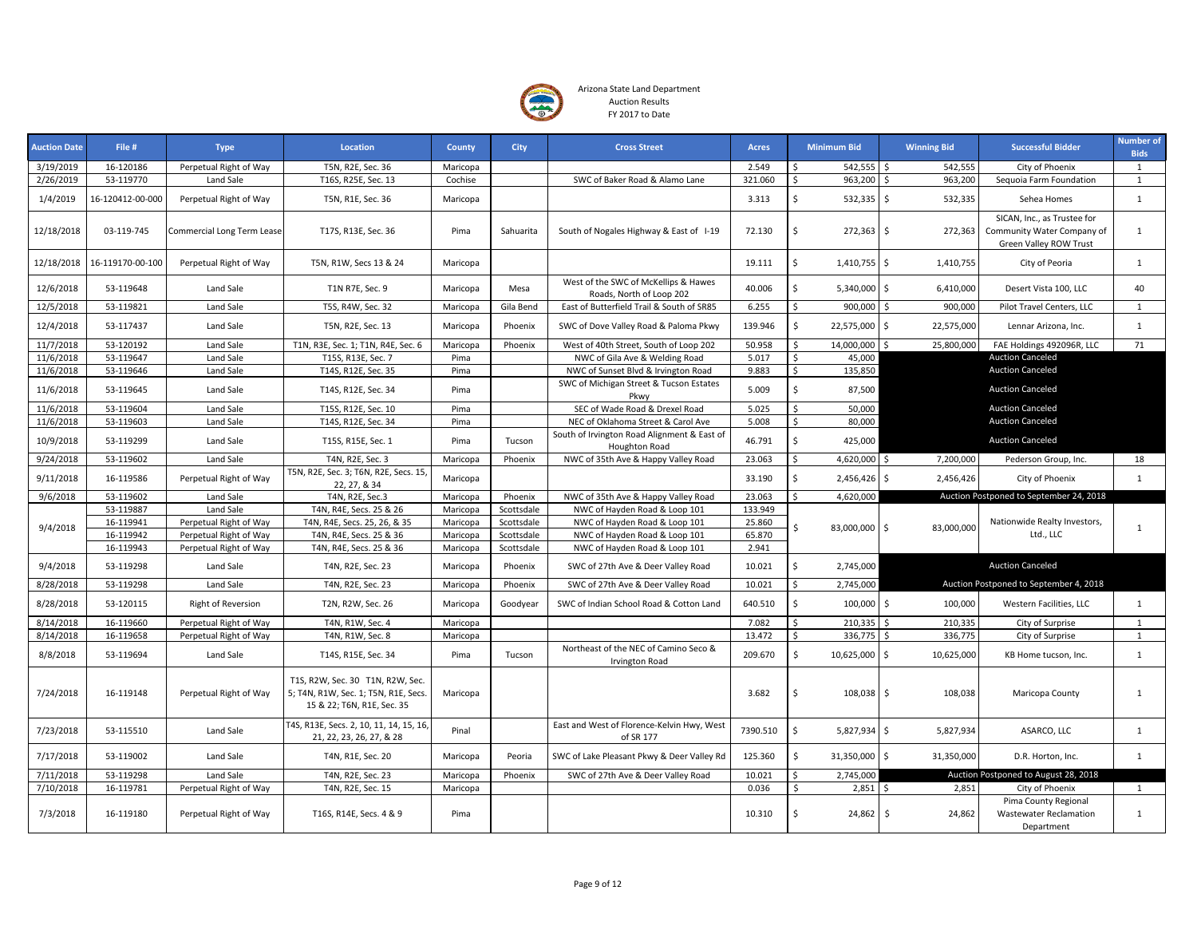

| <b>Auction Date</b> | File #           | <b>Type</b>                       | Location                                                                                              | County   | <b>City</b> | <b>Cross Street</b>                                              | <b>Acres</b> | <b>Minimum Bid</b>                 | <b>Winning Bid</b> | <b>Successful Bidder</b>                                                            | <b>Number of</b><br><b>Bids</b> |
|---------------------|------------------|-----------------------------------|-------------------------------------------------------------------------------------------------------|----------|-------------|------------------------------------------------------------------|--------------|------------------------------------|--------------------|-------------------------------------------------------------------------------------|---------------------------------|
| 3/19/2019           | 16-120186        | Perpetual Right of Way            | T5N, R2E, Sec. 36                                                                                     | Maricopa |             |                                                                  | 2.549        | $542,555$ \$<br>Ŝ                  | 542,555            | City of Phoenix                                                                     | $\mathbf{1}$                    |
| 2/26/2019           | 53-119770        | Land Sale                         | T16S, R25E, Sec. 13                                                                                   | Cochise  |             | SWC of Baker Road & Alamo Lane                                   | 321.060      | 963,200 \$<br>Ŝ.                   | 963,200            | Sequoia Farm Foundation                                                             | $\mathbf{1}$                    |
| 1/4/2019            | 16-120412-00-000 | Perpetual Right of Way            | T5N, R1E, Sec. 36                                                                                     | Maricopa |             |                                                                  | 3.313        | $\mathsf{s}$<br>$532,335$ \$       | 532,335            | Sehea Homes                                                                         | 1                               |
| 12/18/2018          | 03-119-745       | <b>Commercial Long Term Lease</b> | T17S, R13E, Sec. 36                                                                                   | Pima     | Sahuarita   | South of Nogales Highway & East of I-19                          | 72.130       | Ŝ.<br>$272,363$ \$                 | 272,363            | SICAN, Inc., as Trustee for<br>Community Water Company of<br>Green Valley ROW Trust | $\mathbf{1}$                    |
| 12/18/2018          | 16-119170-00-100 | Perpetual Right of Way            | T5N, R1W, Secs 13 & 24                                                                                | Maricopa |             |                                                                  | 19.111       | \$<br>1,410,755 \$                 | 1,410,755          | City of Peoria                                                                      | 1                               |
| 12/6/2018           | 53-119648        | Land Sale                         | T1N R7E, Sec. 9                                                                                       | Maricopa | Mesa        | West of the SWC of McKellips & Hawes<br>Roads, North of Loop 202 | 40.006       | \$<br>5,340,000 \$                 | 6,410,000          | Desert Vista 100, LLC                                                               | 40                              |
| 12/5/2018           | 53-119821        | Land Sale                         | T5S, R4W, Sec. 32                                                                                     | Maricopa | Gila Bend   | East of Butterfield Trail & South of SR85                        | 6.255        | Ŝ.<br>900,000                      | 900,000<br>-Ś      | Pilot Travel Centers, LLC                                                           | 1                               |
| 12/4/2018           | 53-117437        | Land Sale                         | T5N, R2E, Sec. 13                                                                                     | Maricopa | Phoenix     | SWC of Dove Valley Road & Paloma Pkwy                            | 139.946      | \$<br>22,575,000 \$                | 22,575,000         | Lennar Arizona, Inc.                                                                | 1                               |
| 11/7/2018           | 53-120192        | Land Sale                         | T1N, R3E, Sec. 1; T1N, R4E, Sec. 6                                                                    | Maricopa | Phoenix     | West of 40th Street, South of Loop 202                           | 50.958       | 14,000,000 \$<br>Ŝ.                | 25,800,000         | FAE Holdings 492096R, LLC                                                           | 71                              |
| 11/6/2018           | 53-119647        | Land Sale                         | T15S, R13E, Sec. 7                                                                                    | Pima     |             | NWC of Gila Ave & Welding Road                                   | 5.017        | \$<br>45,000                       |                    | <b>Auction Canceled</b>                                                             |                                 |
| 11/6/2018           | 53-119646        | Land Sale                         | T14S, R12E, Sec. 35                                                                                   | Pima     |             | NWC of Sunset Blvd & Irvington Road                              | 9.883        | $\mathsf{s}$<br>135,850            |                    | <b>Auction Canceled</b>                                                             |                                 |
| 11/6/2018           | 53-119645        | Land Sale                         | T14S, R12E, Sec. 34                                                                                   | Pima     |             | SWC of Michigan Street & Tucson Estates<br>Pkwy                  | 5.009        | \$<br>87,500                       |                    | <b>Auction Canceled</b>                                                             |                                 |
| 11/6/2018           | 53-119604        | Land Sale                         | T15S, R12E, Sec. 10                                                                                   | Pima     |             | SEC of Wade Road & Drexel Road                                   | 5.025        | $\mathsf{\hat{S}}$<br>50,000       |                    | <b>Auction Canceled</b>                                                             |                                 |
| 11/6/2018           | 53-119603        | Land Sale                         | T14S, R12E, Sec. 34                                                                                   | Pima     |             | NEC of Oklahoma Street & Carol Ave                               | 5.008        | \$<br>80,000                       |                    | <b>Auction Canceled</b>                                                             |                                 |
| 10/9/2018           | 53-119299        | Land Sale                         | T15S, R15E, Sec. 1                                                                                    | Pima     | Tucson      | South of Irvington Road Alignment & East of<br>Houghton Road     | 46.791       | Ś<br>425,000                       |                    | <b>Auction Canceled</b>                                                             |                                 |
| 9/24/2018           | 53-119602        | Land Sale                         | T4N, R2E, Sec. 3                                                                                      | Maricopa | Phoenix     | NWC of 35th Ave & Happy Valley Road                              | 23.063       | Ŝ.<br>4,620,000 \$                 | 7,200,000          | Pederson Group, Inc.                                                                | 18                              |
| 9/11/2018           | 16-119586        | Perpetual Right of Way            | T5N, R2E, Sec. 3; T6N, R2E, Secs. 15,<br>22, 27, & 34                                                 | Maricopa |             |                                                                  | 33.190       | Ŝ.<br>2,456,426                    | 2,456,426<br>S.    | City of Phoenix                                                                     | 1                               |
| 9/6/2018            | 53-119602        | Land Sale                         | T4N, R2E, Sec.3                                                                                       | Maricopa | Phoenix     | NWC of 35th Ave & Happy Valley Road                              | 23.063       | 4,620,000<br>Ŝ.                    |                    | Auction Postponed to September 24, 2018                                             |                                 |
|                     | 53-119887        | Land Sale                         | T4N, R4E, Secs. 25 & 26                                                                               | Maricopa | Scottsdale  | NWC of Hayden Road & Loop 101                                    | 133.949      |                                    |                    |                                                                                     |                                 |
| 9/4/2018            | 16-119941        | Perpetual Right of Way            | T4N, R4E, Secs. 25, 26, & 35                                                                          | Maricopa | Scottsdale  | NWC of Hayden Road & Loop 101                                    | 25.860       | 83,000,000 \$<br>Ŝ.                | 83,000,000         | Nationwide Realty Investors,                                                        | $\mathbf{1}$                    |
|                     | 16-119942        | Perpetual Right of Way            | T4N, R4E, Secs. 25 & 36                                                                               | Maricopa | Scottsdale  | NWC of Hayden Road & Loop 101                                    | 65.870       |                                    |                    | Ltd., LLC                                                                           |                                 |
|                     | 16-119943        | Perpetual Right of Way            | T4N, R4E, Secs. 25 & 36                                                                               | Maricopa | Scottsdale  | NWC of Hayden Road & Loop 101                                    | 2.941        |                                    |                    |                                                                                     |                                 |
| 9/4/2018            | 53-119298        | Land Sale                         | T4N, R2E, Sec. 23                                                                                     | Maricopa | Phoenix     | SWC of 27th Ave & Deer Valley Road                               | 10.021       | $\sf S$<br>2,745,000               |                    | <b>Auction Canceled</b>                                                             |                                 |
| 8/28/2018           | 53-119298        | Land Sale                         | T4N, R2E, Sec. 23                                                                                     | Maricopa | Phoenix     | SWC of 27th Ave & Deer Valley Road                               | 10.021       | Ŝ.<br>2,745,000                    |                    | Auction Postponed to September 4, 2018                                              |                                 |
| 8/28/2018           | 53-120115        | Right of Reversion                | T2N, R2W, Sec. 26                                                                                     | Maricopa | Goodyear    | SWC of Indian School Road & Cotton Land                          | 640.510      | $\mathsf{s}$<br>100,000 \$         | 100,000            | Western Facilities, LLC                                                             | $\mathbf{1}$                    |
| 8/14/2018           | 16-119660        | Perpetual Right of Way            | T4N, R1W, Sec. 4                                                                                      | Maricopa |             |                                                                  | 7.082        | 210,335                            | 210,335            | City of Surprise                                                                    | $\mathbf{1}$                    |
| 8/14/2018           | 16-119658        | Perpetual Right of Way            | T4N, R1W, Sec. 8                                                                                      | Maricopa |             |                                                                  | 13.472       | $\zeta$<br>336,775                 | 336,775            | City of Surprise                                                                    | $\mathbf 1$                     |
| 8/8/2018            | 53-119694        | Land Sale                         | T14S, R15E, Sec. 34                                                                                   | Pima     | Tucson      | Northeast of the NEC of Camino Seco &<br>Irvington Road          | 209.670      | \$<br>10,625,000 \$                | 10,625,000         | KB Home tucson, Inc.                                                                | $\mathbf{1}$                    |
| 7/24/2018           | 16-119148        | Perpetual Right of Way            | T1S, R2W, Sec. 30 T1N, R2W, Sec<br>5; T4N, R1W, Sec. 1; T5N, R1E, Secs.<br>15 & 22; T6N, R1E, Sec. 35 | Maricopa |             |                                                                  | 3.682        | Ŝ.<br>108,038 \$                   | 108,038            | Maricopa County                                                                     | $\mathbf{1}$                    |
| 7/23/2018           | 53-115510        | Land Sale                         | T4S, R13E, Secs. 2, 10, 11, 14, 15, 16,<br>21, 22, 23, 26, 27, & 28                                   | Pinal    |             | East and West of Florence-Kelvin Hwy, West<br>of SR 177          | 7390.510     | $\mathsf{\hat{S}}$<br>5,827,934 \$ | 5,827,934          | ASARCO, LLC                                                                         | $\mathbf{1}$                    |
| 7/17/2018           | 53-119002        | Land Sale                         | T4N, R1E, Sec. 20                                                                                     | Maricopa | Peoria      | SWC of Lake Pleasant Pkwy & Deer Valley Rd                       | 125.360      | \$<br>31,350,000 \$                | 31,350,000         | D.R. Horton, Inc.                                                                   | 1                               |
| 7/11/2018           | 53-119298        | Land Sale                         | T4N, R2E, Sec. 23                                                                                     | Maricopa | Phoenix     | SWC of 27th Ave & Deer Valley Road                               | 10.021       | 2,745,000<br>Ŝ.                    |                    | Auction Postponed to August 28, 2018                                                |                                 |
| 7/10/2018           | 16-119781        | Perpetual Right of Way            | T4N, R2E, Sec. 15                                                                                     | Maricopa |             |                                                                  | 0.036        | <sup>\$</sup><br>$2,851$ \$        | 2,851              | City of Phoenix                                                                     | $\mathbf{1}$                    |
| 7/3/2018            | 16-119180        | Perpetual Right of Way            | T16S, R14E, Secs. 4 & 9                                                                               | Pima     |             |                                                                  | 10.310       | Ŝ.<br>24,862 \$                    | 24,862             | Pima County Regional<br>Wastewater Reclamation<br>Department                        | $\mathbf{1}$                    |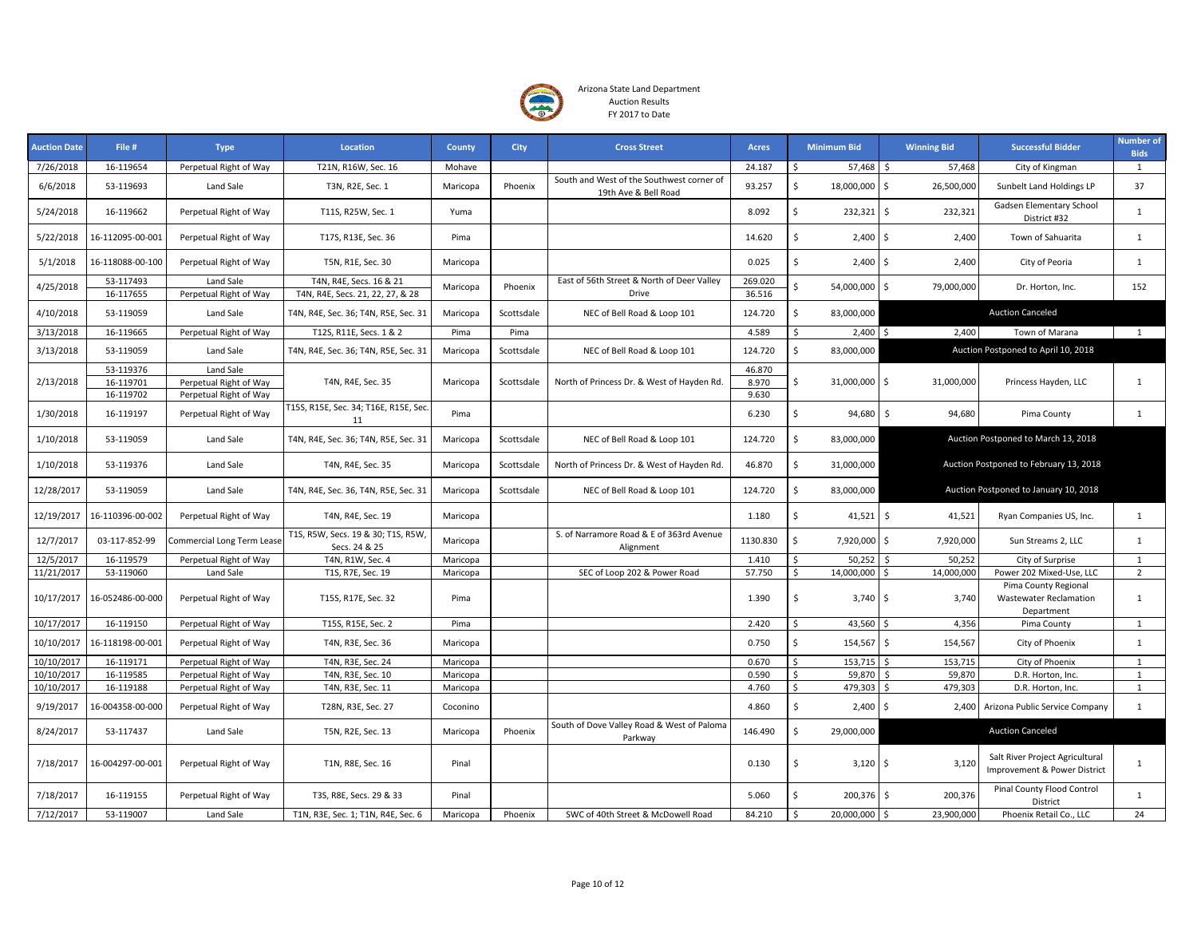

| <b>Auction Date</b> | File #                              | <b>Type</b>                                                   | Location                                                    | County   | City       | <b>Cross Street</b>                                               | <b>Acres</b>             | <b>Minimum Bid</b>             | <b>Winning Bid</b> | <b>Successful Bidder</b>                                            | <b>Number of</b><br><b>Bids</b> |
|---------------------|-------------------------------------|---------------------------------------------------------------|-------------------------------------------------------------|----------|------------|-------------------------------------------------------------------|--------------------------|--------------------------------|--------------------|---------------------------------------------------------------------|---------------------------------|
| 7/26/2018           | 16-119654                           | Perpetual Right of Way                                        | T21N, R16W, Sec. 16                                         | Mohave   |            |                                                                   | 24.187                   | 57,468<br>Ŝ.                   | 57,468<br>Ŝ.       | City of Kingman                                                     | 1                               |
| 6/6/2018            | 53-119693                           | Land Sale                                                     | T3N, R2E, Sec. 1                                            | Maricopa | Phoenix    | South and West of the Southwest corner of<br>19th Ave & Bell Road | 93.257                   | \$<br>18,000,000               | \$<br>26,500,000   | Sunbelt Land Holdings LP                                            | 37                              |
| 5/24/2018           | 16-119662                           | Perpetual Right of Way                                        | T11S, R25W, Sec. 1                                          | Yuma     |            |                                                                   | 8.092                    | \$<br>232,321                  | \$<br>232,321      | Gadsen Elementary School<br>District #32                            | $\mathbf{1}$                    |
| 5/22/2018           | 16-112095-00-001                    | Perpetual Right of Way                                        | T17S, R13E, Sec. 36                                         | Pima     |            |                                                                   | 14.620                   | \$.<br>$2,400$ \$              | 2,400              | Town of Sahuarita                                                   | $\mathbf{1}$                    |
| 5/1/2018            | 16-118088-00-100                    | Perpetual Right of Way                                        | T5N, R1E, Sec. 30                                           | Maricopa |            |                                                                   | 0.025                    | \$<br>2,400                    | Ŝ.<br>2,400        | City of Peoria                                                      | 1                               |
| 4/25/2018           | 53-117493<br>16-117655              | Land Sale<br>Perpetual Right of Way                           | T4N, R4E, Secs. 16 & 21<br>T4N, R4E, Secs. 21, 22, 27, & 28 | Maricopa | Phoenix    | East of 56th Street & North of Deer Valley<br>Drive               | 269.020<br>36.516        | \$<br>54,000,000               | \$<br>79,000,000   | Dr. Horton, Inc.                                                    | 152                             |
| 4/10/2018           | 53-119059                           | Land Sale                                                     | T4N, R4E, Sec. 36; T4N, R5E, Sec. 31                        | Maricopa | Scottsdale | NEC of Bell Road & Loop 101                                       | 124.720                  | \$<br>83,000,000               |                    | <b>Auction Canceled</b>                                             |                                 |
| 3/13/2018           | 16-119665                           | Perpetual Right of Way                                        | T12S, R11E, Secs. 1 & 2                                     | Pima     | Pima       |                                                                   | 4.589                    | Ś.<br>$2,400$ \$               | 2,400              | Town of Marana                                                      | $\mathbf{1}$                    |
| 3/13/2018           | 53-119059                           | Land Sale                                                     | T4N, R4E, Sec. 36; T4N, R5E, Sec. 31                        | Maricopa | Scottsdale | NEC of Bell Road & Loop 101                                       | 124.720                  | \$<br>83,000,000               |                    | Auction Postponed to April 10, 2018                                 |                                 |
| 2/13/2018           | 53-119376<br>16-119701<br>16-119702 | Land Sale<br>Perpetual Right of Way<br>Perpetual Right of Way | T4N, R4E, Sec. 35                                           | Maricopa | Scottsdale | North of Princess Dr. & West of Hayden Rd.                        | 46.870<br>8.970<br>9.630 | \$<br>31,000,000               | \$<br>31,000,000   | Princess Hayden, LLC                                                | $\mathbf{1}$                    |
| 1/30/2018           | 16-119197                           | Perpetual Right of Way                                        | T15S, R15E, Sec. 34; T16E, R15E, Sec.<br>11                 | Pima     |            |                                                                   | 6.230                    | \$<br>94,680                   | \$<br>94,680       | Pima County                                                         | $\mathbf{1}$                    |
| 1/10/2018           | 53-119059                           | Land Sale                                                     | T4N, R4E, Sec. 36; T4N, R5E, Sec. 31                        | Maricopa | Scottsdale | NEC of Bell Road & Loop 101                                       | 124.720                  | Ś.<br>83,000,000               |                    | Auction Postponed to March 13, 2018                                 |                                 |
| 1/10/2018           | 53-119376                           | Land Sale                                                     | T4N, R4E, Sec. 35                                           | Maricopa | Scottsdale | North of Princess Dr. & West of Hayden Rd.                        | 46.870                   | \$<br>31,000,000               |                    | Auction Postponed to February 13, 2018                              |                                 |
| 12/28/2017          | 53-119059                           | Land Sale                                                     | T4N, R4E, Sec. 36, T4N, R5E, Sec. 31                        | Maricopa | Scottsdale | NEC of Bell Road & Loop 101                                       | 124.720                  | \$<br>83,000,000               |                    | Auction Postponed to January 10, 2018                               |                                 |
| 12/19/2017          | 16-110396-00-002                    | Perpetual Right of Way                                        | T4N, R4E, Sec. 19                                           | Maricopa |            |                                                                   | 1.180                    | \$<br>41,521                   | \$<br>41,521       | Ryan Companies US, Inc.                                             | 1                               |
| 12/7/2017           | 03-117-852-99                       | Commercial Long Term Lease                                    | T1S, R5W, Secs. 19 & 30; T1S, R5W,<br>Secs. 24 & 25         | Maricopa |            | S. of Narramore Road & E of 363rd Avenue<br>Alignment             | 1130.830                 | Ś<br>7,920,000                 | \$<br>7,920,000    | Sun Streams 2, LLC                                                  | $\mathbf{1}$                    |
| 12/5/2017           | 16-119579                           | Perpetual Right of Way                                        | T4N, R1W, Sec. 4                                            | Maricopa |            |                                                                   | 1.410                    | Ś<br>50,252                    | 50,252<br>Ś        | City of Surprise                                                    | 1                               |
| 11/21/2017          | 53-119060                           | Land Sale                                                     | T1S, R7E, Sec. 19                                           | Maricopa |            | SEC of Loop 202 & Power Road                                      | 57.750                   | Ś<br>14,000,000                | Ś<br>14,000,000    | Power 202 Mixed-Use, LLC                                            | $\overline{2}$                  |
| 10/17/2017          | 16-052486-00-000                    | Perpetual Right of Way                                        | T15S, R17E, Sec. 32                                         | Pima     |            |                                                                   | 1.390                    | \$<br>$3,740$ \$               | 3,740              | Pima County Regional<br><b>Wastewater Reclamation</b><br>Department | $\mathbf{1}$                    |
| 10/17/2017          | 16-119150                           | Perpetual Right of Way                                        | T15S, R15E, Sec. 2                                          | Pima     |            |                                                                   | 2.420                    | 43,560 \$<br>Ŝ.                | 4,356              | Pima County                                                         | 1                               |
| 10/10/2017          | 16-118198-00-001                    | Perpetual Right of Way                                        | T4N, R3E, Sec. 36                                           | Maricopa |            |                                                                   | 0.750                    | \$<br>154,567 \$               | 154,567            | City of Phoenix                                                     | 1                               |
| 10/10/2017          | 16-119171                           | Perpetual Right of Way                                        | T4N, R3E, Sec. 24                                           | Maricopa |            |                                                                   | 0.670                    | $153,715$ \$<br>Ś              | 153,715            | City of Phoenix                                                     | $\mathbf{1}$                    |
| 10/10/2017          | 16-119585                           | Perpetual Right of Way                                        | T4N, R3E, Sec. 10                                           | Maricopa |            |                                                                   | 0.590                    | \$<br>59,870                   | Ś<br>59,870        | D.R. Horton, Inc.                                                   | $\mathbf{1}$                    |
| 10/10/2017          | 16-119188                           | Perpetual Right of Way                                        | T4N, R3E, Sec. 11                                           | Maricopa |            |                                                                   | 4.760                    | \$<br>479,303                  | Ś<br>479,303       | D.R. Horton, Inc.                                                   | 1                               |
| 9/19/2017           | 16-004358-00-000                    | Perpetual Right of Way                                        | T28N, R3E, Sec. 27                                          | Coconino |            |                                                                   | 4.860                    | \$<br>2,400                    | Ś.<br>2,400        | Arizona Public Service Company                                      | $\mathbf{1}$                    |
| 8/24/2017           | 53-117437                           | Land Sale                                                     | T5N, R2E, Sec. 13                                           | Maricopa | Phoenix    | South of Dove Valley Road & West of Paloma<br>Parkway             | 146.490                  | \$<br>29,000,000               |                    | <b>Auction Canceled</b>                                             |                                 |
| 7/18/2017           | 16-004297-00-001                    | Perpetual Right of Way                                        | T1N, R8E, Sec. 16                                           | Pinal    |            |                                                                   | 0.130                    | \$<br>$3,120$ \$               | 3,120              | Salt River Project Agricultural<br>Improvement & Power District     | $\mathbf{1}$                    |
| 7/18/2017           | 16-119155                           | Perpetual Right of Way                                        | T3S, R8E, Secs. 29 & 33                                     | Pinal    |            |                                                                   | 5.060                    | \$<br>$200,376$ \$             | 200,376            | Pinal County Flood Control<br>District                              | $\mathbf{1}$                    |
| 7/12/2017           | 53-119007                           | Land Sale                                                     | T1N, R3E, Sec. 1; T1N, R4E, Sec. 6                          | Maricopa | Phoenix    | SWC of 40th Street & McDowell Road                                | 84.210                   | <sup>\$</sup><br>20,000,000 \$ | 23,900,000         | Phoenix Retail Co., LLC                                             | 24                              |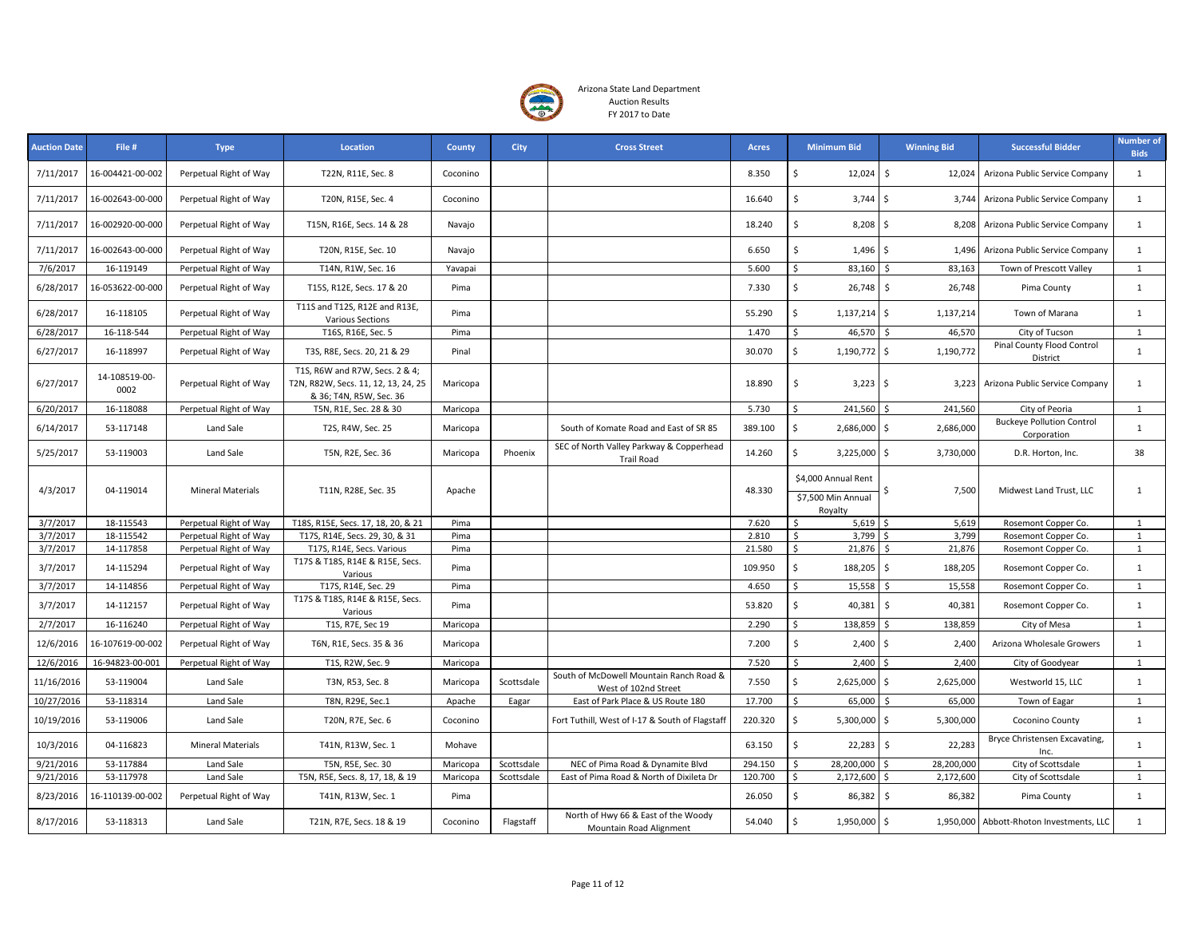

| <b>Auction Date</b> | File #                | <b>Type</b>              | Location                                                                                         | <b>County</b> | <b>City</b> | <b>Cross Street</b>                                             | <b>Acres</b> | <b>Minimum Bid</b>              | <b>Winning Bid</b>           | <b>Successful Bidder</b>                        | <b>Number of</b><br><b>Bids</b> |
|---------------------|-----------------------|--------------------------|--------------------------------------------------------------------------------------------------|---------------|-------------|-----------------------------------------------------------------|--------------|---------------------------------|------------------------------|-------------------------------------------------|---------------------------------|
| 7/11/2017           | 16-004421-00-002      | Perpetual Right of Way   | T22N, R11E, Sec. 8                                                                               | Coconino      |             |                                                                 | 8.350        | \$<br>12,024                    | \$<br>12,024                 | Arizona Public Service Company                  | 1                               |
| 7/11/2017           | 16-002643-00-000      | Perpetual Right of Way   | T20N, R15E, Sec. 4                                                                               | Coconino      |             |                                                                 | 16.640       | Ś.<br>3,744                     | \$<br>3,744                  | Arizona Public Service Company                  | $\mathbf{1}$                    |
| 7/11/2017           | 16-002920-00-000      | Perpetual Right of Way   | T15N, R16E, Secs. 14 & 28                                                                        | Navajo        |             |                                                                 | 18.240       | \$<br>$8,208$ \$                | 8,208                        | Arizona Public Service Company                  | 1                               |
| 7/11/2017           | 16-002643-00-000      | Perpetual Right of Way   | T20N, R15E, Sec. 10                                                                              | Navajo        |             |                                                                 | 6.650        | \$<br>$1,496$ \$                | 1,496                        | Arizona Public Service Company                  | $\mathbf{1}$                    |
| 7/6/2017            | 16-119149             | Perpetual Right of Way   | T14N, R1W, Sec. 16                                                                               | Yavapai       |             |                                                                 | 5.600        | \$<br>83,160                    | Ŝ.<br>83,163                 | Town of Prescott Valley                         | $\mathbf{1}$                    |
| 6/28/2017           | 16-053622-00-000      | Perpetual Right of Way   | T15S, R12E, Secs. 17 & 20                                                                        | Pima          |             |                                                                 | 7.330        | \$<br>26,748                    | \$<br>26,748                 | Pima County                                     | $\mathbf{1}$                    |
| 6/28/2017           | 16-118105             | Perpetual Right of Way   | T11S and T12S, R12E and R13E,<br>Various Sections                                                | Pima          |             |                                                                 | 55.290       | \$<br>$1,137,214$ \$            | 1,137,214                    | Town of Marana                                  | 1                               |
| 6/28/2017           | 16-118-544            | Perpetual Right of Way   | T16S, R16E, Sec. 5                                                                               | Pima          |             |                                                                 | 1.470        | 46,570<br>\$                    | 46,570<br>I\$                | City of Tucson                                  | $\mathbf{1}$                    |
| 6/27/2017           | 16-118997             | Perpetual Right of Way   | T3S, R8E, Secs. 20, 21 & 29                                                                      | Pinal         |             |                                                                 | 30.070       | \$<br>1,190,772 \$              | 1,190,772                    | Pinal County Flood Control<br>District          | 1                               |
| 6/27/2017           | 14-108519-00-<br>0002 | Perpetual Right of Way   | T1S, R6W and R7W, Secs. 2 & 4;<br>T2N, R82W, Secs. 11, 12, 13, 24, 25<br>& 36; T4N, R5W, Sec. 36 | Maricopa      |             |                                                                 | 18.890       | \$<br>3,223                     | \$<br>3,223                  | Arizona Public Service Company                  | 1                               |
| 6/20/2017           | 16-118088             | Perpetual Right of Way   | T5N, R1E, Sec. 28 & 30                                                                           | Maricopa      |             |                                                                 | 5.730        | Ś<br>241,560                    | 241,560<br>Ŝ.                | City of Peoria                                  | $\mathbf{1}$                    |
| 6/14/2017           | 53-117148             | Land Sale                | T2S, R4W, Sec. 25                                                                                | Maricopa      |             | South of Komate Road and East of SR 85                          | 389.100      | \$<br>2,686,000                 | \$<br>2,686,000              | <b>Buckeye Pollution Control</b><br>Corporation | $\mathbf{1}$                    |
| 5/25/2017           | 53-119003             | Land Sale                | T5N, R2E, Sec. 36                                                                                | Maricopa      | Phoenix     | SEC of North Valley Parkway & Copperhead<br><b>Trail Road</b>   | 14.260       | $\mathsf{\hat{S}}$<br>3,225,000 | \$<br>3,730,000              | D.R. Horton, Inc.                               | 38                              |
|                     | 04-119014             |                          |                                                                                                  |               |             |                                                                 |              | \$4,000 Annual Rent             |                              |                                                 |                                 |
| 4/3/2017            |                       | Mineral Materials        | T11N, R28E, Sec. 35                                                                              | Apache        |             |                                                                 | 48.330       | \$7,500 Min Annual<br>Royalty   | 7,500                        | Midwest Land Trust, LLC                         | $\mathbf{1}$                    |
| 3/7/2017            | 18-115543             | Perpetual Right of Way   | T18S, R15E, Secs. 17, 18, 20, & 21                                                               | Pima          |             |                                                                 | 7.620        | 5,619<br><sup>\$</sup>          | 5,619                        | Rosemont Copper Co.                             | 1                               |
| 3/7/2017            | 18-115542             | Perpetual Right of Way   | T17S, R14E, Secs. 29, 30, & 31                                                                   | Pima          |             |                                                                 | 2.810        | \$<br>3,799                     | 3,799                        | Rosemont Copper Co.                             | $\mathbf{1}$                    |
| 3/7/2017            | 14-117858             | Perpetual Right of Way   | T17S, R14E, Secs. Various                                                                        | Pima          |             |                                                                 | 21.580       | \$<br>21,876 \$                 | 21,876                       | Rosemont Copper Co.                             | 1                               |
| 3/7/2017            | 14-115294             | Perpetual Right of Way   | T17S & T18S, R14E & R15E, Secs.<br>Various                                                       | Pima          |             |                                                                 | 109.950      | Ŝ.<br>188,205                   | \$<br>188,205                | Rosemont Copper Co.                             | 1                               |
| 3/7/2017            | 14-114856             | Perpetual Right of Way   | T17S, R14E, Sec. 29                                                                              | Pima          |             |                                                                 | 4.650        | Ś.<br>15,558                    | $\mathsf{\hat{S}}$<br>15,558 | Rosemont Copper Co.                             | 1                               |
| 3/7/2017            | 14-112157             | Perpetual Right of Way   | T17S & T18S, R14E & R15E, Secs.<br>Various                                                       | Pima          |             |                                                                 | 53.820       | \$<br>40,381                    | \$<br>40,381                 | Rosemont Copper Co.                             | $\mathbf{1}$                    |
| 2/7/2017            | 16-116240             | Perpetual Right of Way   | T1S, R7E, Sec 19                                                                                 | Maricopa      |             |                                                                 | 2.290        | Ś.<br>138,859                   | Ś.<br>138,859                | City of Mesa                                    | $\mathbf{1}$                    |
| 12/6/2016           | 16-107619-00-002      | Perpetual Right of Way   | T6N, R1E, Secs. 35 & 36                                                                          | Maricopa      |             |                                                                 | 7.200        | Ś.<br>$2,400$ \$                | 2,400                        | Arizona Wholesale Growers                       | $\mathbf{1}$                    |
| 12/6/2016           | 16-94823-00-001       | Perpetual Right of Way   | T1S, R2W, Sec. 9                                                                                 | Maricopa      |             |                                                                 | 7.520        | $\mathsf{\hat{S}}$<br>2,400     | Ś<br>2,400                   | City of Goodyear                                | $\mathbf{1}$                    |
| 11/16/2016          | 53-119004             | Land Sale                | T3N, R53, Sec. 8                                                                                 | Maricopa      | Scottsdale  | South of McDowell Mountain Ranch Road &<br>West of 102nd Street | 7.550        | \$<br>2,625,000                 | \$<br>2,625,000              | Westworld 15, LLC                               | 1                               |
| 10/27/2016          | 53-118314             | Land Sale                | T8N, R29E, Sec.1                                                                                 | Apache        | Eagar       | East of Park Place & US Route 180                               | 17.700       | $\mathsf{\hat{S}}$<br>65,000    | Ś.<br>65,000                 | Town of Eagar                                   | 1                               |
| 10/19/2016          | 53-119006             | Land Sale                | T20N, R7E, Sec. 6                                                                                | Coconino      |             | Fort Tuthill, West of I-17 & South of Flagstaff                 | 220.320      | \$<br>5,300,000                 | \$<br>5,300,000              | Coconino County                                 | $\mathbf{1}$                    |
| 10/3/2016           | 04-116823             | <b>Mineral Materials</b> | T41N, R13W, Sec. 1                                                                               | Mohave        |             |                                                                 | 63.150       | \$<br>22,283                    | \$<br>22,283                 | Bryce Christensen Excavating,<br>Inc.           | $\mathbf{1}$                    |
| 9/21/2016           | 53-117884             | Land Sale                | T5N, R5E, Sec. 30                                                                                | Maricopa      | Scottsdale  | NEC of Pima Road & Dynamite Blvd                                | 294.150      | Ŝ.<br>28,200,000                | $\mathsf{s}$<br>28,200,000   | City of Scottsdale                              | 1                               |
| 9/21/2016           | 53-117978             | Land Sale                | T5N, R5E, Secs. 8, 17, 18, & 19                                                                  | Maricopa      | Scottsdale  | East of Pima Road & North of Dixileta Dr                        | 120.700      | Ś<br>2,172,600                  | \$<br>2,172,600              | City of Scottsdale                              | 1                               |
| 8/23/2016           | 16-110139-00-002      | Perpetual Right of Way   | T41N, R13W, Sec. 1                                                                               | Pima          |             |                                                                 | 26.050       | \$<br>86,382                    | \$<br>86,382                 | Pima County                                     | 1                               |
| 8/17/2016           | 53-118313             | Land Sale                | T21N, R7E, Secs. 18 & 19                                                                         | Coconino      | Flagstaff   | North of Hwy 66 & East of the Woody<br>Mountain Road Alignment  | 54.040       | \$<br>1,950,000 \$              |                              | 1,950,000 Abbott-Rhoton Investments, LLC        | $\mathbf{1}$                    |